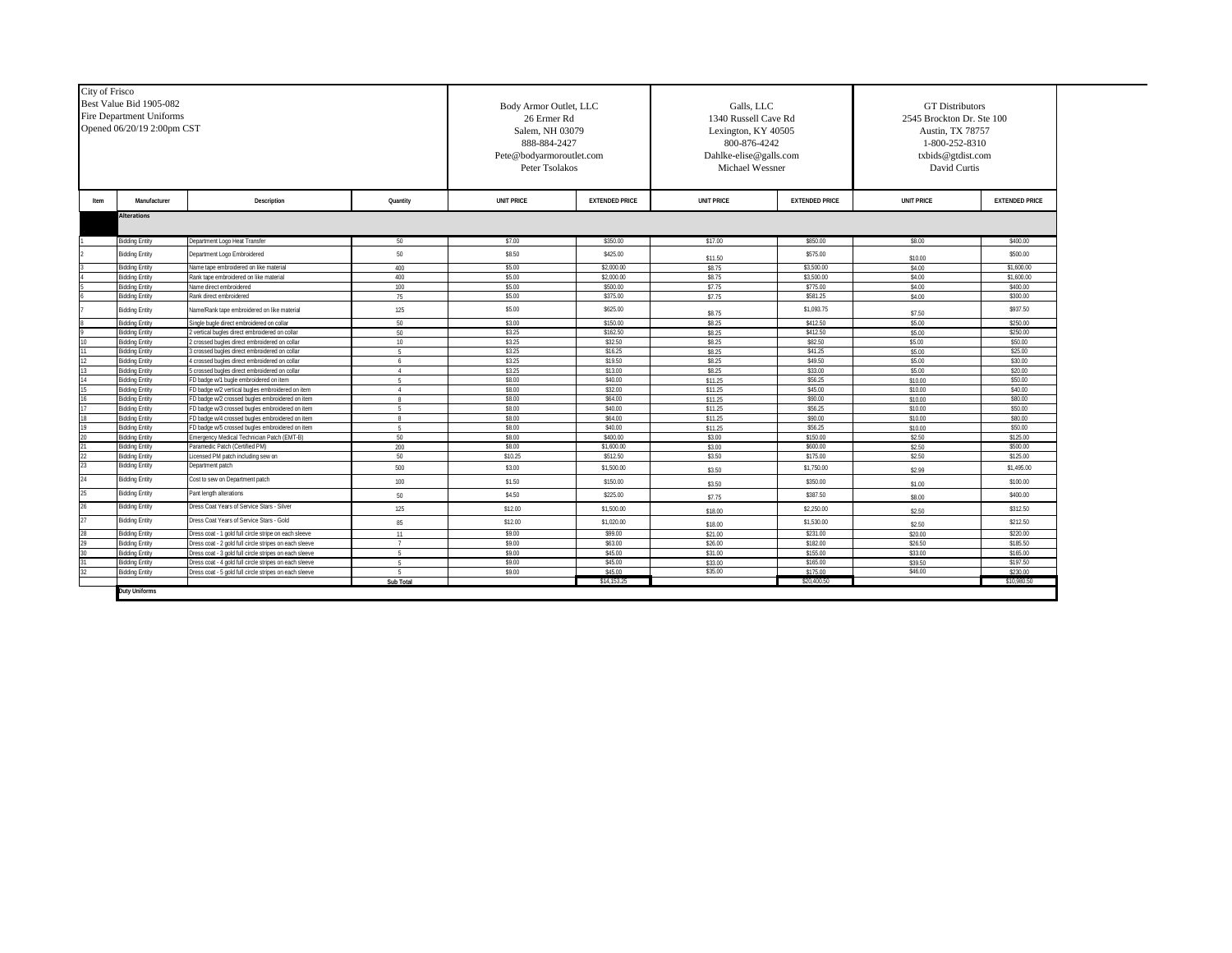| City of Frisco | Best Value Bid 1905-082<br><b>Fire Department Uniforms</b><br>Opened 06/20/19 2:00pm CST |                                                                                          | Body Armor Outlet, LLC<br>26 Ermer Rd<br>Salem, NH 03079<br>888-884-2427<br>Pete@bodyarmoroutlet.com<br>Peter Tsolakos |                   | Galls, LLC<br>1340 Russell Cave Rd<br>Lexington, KY 40505<br>800-876-4242<br>Dahlke-elise@galls.com<br>Michael Wessner |                    | <b>GT</b> Distributors<br>2545 Brockton Dr. Ste 100<br>Austin, TX 78757<br>1-800-252-8310<br>txbids@gtdist.com<br>David Curtis |                    |                       |  |
|----------------|------------------------------------------------------------------------------------------|------------------------------------------------------------------------------------------|------------------------------------------------------------------------------------------------------------------------|-------------------|------------------------------------------------------------------------------------------------------------------------|--------------------|--------------------------------------------------------------------------------------------------------------------------------|--------------------|-----------------------|--|
| Item           | Manufacturer                                                                             | Description                                                                              | Quantity                                                                                                               | <b>UNIT PRICE</b> | <b>EXTENDED PRICE</b>                                                                                                  | <b>UNIT PRICE</b>  | <b>EXTENDED PRICE</b>                                                                                                          | <b>UNIT PRICE</b>  | <b>EXTENDED PRICE</b> |  |
|                | <b>Alterations</b>                                                                       |                                                                                          |                                                                                                                        |                   |                                                                                                                        |                    |                                                                                                                                |                    |                       |  |
|                |                                                                                          |                                                                                          |                                                                                                                        |                   |                                                                                                                        |                    |                                                                                                                                |                    |                       |  |
|                | <b>Bidding Entity</b>                                                                    | Department Logo Heat Transfer                                                            | 50                                                                                                                     | \$7.00            | \$350.00                                                                                                               | \$17.00            | \$850.00                                                                                                                       | \$8.00             | \$400.00              |  |
|                | <b>Bidding Entity</b>                                                                    | Department Logo Embroidered                                                              | 50                                                                                                                     | \$8.50            | \$425.00                                                                                                               | \$11.50            | \$575.00                                                                                                                       | \$10.00            | \$500.00              |  |
|                | <b>Bidding Entity</b>                                                                    | Name tape embroidered on like material                                                   | 400                                                                                                                    | \$5.00            | \$2,000.00                                                                                                             | \$8.75             | \$3,500.00                                                                                                                     | \$4.00             | \$1,600.00            |  |
|                | idding Entity                                                                            | Rank tape embroidered on like material                                                   | 400                                                                                                                    | \$5.00            | \$2.000.00                                                                                                             | \$8.75             | \$3.500.00                                                                                                                     | \$4.00             | \$1,600.00            |  |
|                | idding Entity                                                                            | lame direct embroidered                                                                  | 100                                                                                                                    | \$5.00            | \$500.00                                                                                                               | \$7.75             | \$775.00                                                                                                                       | \$4.00             | \$400.00              |  |
|                | <b>Bidding Entity</b>                                                                    | Rank direct embroidered                                                                  | 75                                                                                                                     | \$5.00            | \$375.00                                                                                                               | \$7.75             | \$581.25                                                                                                                       | \$4.00             | \$300.00              |  |
|                | <b>Bidding Entity</b>                                                                    | Name/Rank tape embroidered on like material                                              | 125                                                                                                                    | \$5.00            | \$625.00                                                                                                               | \$8.75             | \$1,093.75                                                                                                                     | \$7.50             | \$937.50              |  |
|                | <b>Sidding Entity</b>                                                                    | Single bugle direct embroidered on collar                                                | 50                                                                                                                     | \$3.00            | \$150.00                                                                                                               | \$8.25             | \$412.50                                                                                                                       | \$5.00             | \$250.00              |  |
|                | idding Entity                                                                            | vertical bugles direct embroidered on collar                                             | 50                                                                                                                     | \$3.25            | \$162.50                                                                                                               | \$8.25             | \$412.50                                                                                                                       | \$5.00             | \$250.00              |  |
|                | idding Entity                                                                            | crossed bugles direct embroidered on collar                                              | 10                                                                                                                     | \$3.25            | \$32.50                                                                                                                | \$8.25             | \$82.50                                                                                                                        | \$5.00             | \$50.00               |  |
|                | <b>Bidding Entity</b>                                                                    | 3 crossed bugles direct embroidered on collar                                            | $-5$                                                                                                                   | \$3.25            | \$16.25                                                                                                                | \$8.25             | \$41.25                                                                                                                        | \$5.00             | \$25.00               |  |
|                | idding Entity                                                                            | crossed bugles direct embroidered on collar                                              | 6                                                                                                                      | \$3.25            | \$19.50                                                                                                                | \$8.25             | \$49.50                                                                                                                        | \$5.00             | \$30.00               |  |
|                | <b>Sidding Entity</b>                                                                    | crossed bugles direct embroidered on collar                                              | $\overline{4}$                                                                                                         | \$3.25            | \$13.00                                                                                                                | \$8.25             | \$33.00                                                                                                                        | \$5.00             | \$20.00               |  |
|                | <b>Sidding Entity</b><br>idding Entity                                                   | D badge w/1 bugle embroidered on item<br>D badge w/2 vertical bugles embroidered on item | $\overline{4}$                                                                                                         | \$8.00<br>\$8.00  | \$40.00<br>\$32.00                                                                                                     | \$11.25<br>\$11.25 | \$56.25<br>\$45.00                                                                                                             | \$10.00            | \$50.00<br>\$40.00    |  |
|                | idding Entity                                                                            | D badge w/2 crossed bugles embroidered on item                                           | 8                                                                                                                      | \$8.00            | \$64.00                                                                                                                | \$11.25            | \$90.00                                                                                                                        | \$10.00<br>\$10.00 | \$80.00               |  |
|                | idding Entity                                                                            | D badge w/3 crossed bugles embroidered on item                                           |                                                                                                                        | \$8.00            | \$40.00                                                                                                                | \$11.25            | \$56.25                                                                                                                        | \$10.00            | \$50.00               |  |
|                | idding Entity                                                                            | D badge w/4 crossed bugles embroidered on item                                           | $\mathbb{R}$                                                                                                           | \$8.00            | \$64.00                                                                                                                | \$11.25            | \$90.00                                                                                                                        | \$10.00            | \$80.00               |  |
|                | <b>Sidding Entity</b>                                                                    | FD badge w/5 crossed bugles embroidered on item                                          | $-5$                                                                                                                   | \$8.00            | \$40.00                                                                                                                | \$11.25            | \$56.25                                                                                                                        | \$10.00            | \$50.00               |  |
|                | idding Entity                                                                            | mergency Medical Technician Patch (EMT-B)                                                | 50                                                                                                                     | \$8.00            | \$400.00                                                                                                               | \$3.00             | \$150.00                                                                                                                       | \$2.50             | \$125.00              |  |
|                | idding Entity                                                                            | Paramedic Patch (Certified PM)                                                           | 200                                                                                                                    | \$8.00            | \$1,600.00                                                                                                             | \$3.00             | \$600.00                                                                                                                       | \$2.50             | \$500.00              |  |
|                | idding Entity                                                                            | icensed PM patch including sew on                                                        | 50                                                                                                                     | \$10.25           | \$512.50                                                                                                               | \$3.50             | \$175.00                                                                                                                       | \$2.50             | \$125.00              |  |
|                | idding Entity                                                                            | Department patch                                                                         | 500                                                                                                                    | \$3.00            | \$1,500.00                                                                                                             | \$3.50             | \$1,750.00                                                                                                                     | \$2.99             | \$1,495.00            |  |
|                | idding Entity                                                                            | Cost to sew on Department patch                                                          | 100                                                                                                                    | \$1.50            | \$150.00                                                                                                               | \$3.50             | \$350.00                                                                                                                       | \$1.00             | \$100.00              |  |
|                | idding Entity                                                                            | Pant length alterations                                                                  | 50                                                                                                                     | \$4.50            | \$225.00                                                                                                               | \$7.75             | \$387.50                                                                                                                       | \$8.00             | \$400.00              |  |
|                | idding Entity                                                                            | Dress Coat Years of Service Stars - Silver                                               | 125                                                                                                                    | \$12.00           | \$1,500.00                                                                                                             | \$18.00            | \$2,250.00                                                                                                                     | \$2.50             | \$312.50              |  |
|                | lidding Entity                                                                           | Dress Coat Years of Service Stars - Gold                                                 | 85                                                                                                                     | \$12.00           | \$1,020.00                                                                                                             | \$18.00            | \$1,530.00                                                                                                                     | \$2.50             | \$212.50              |  |
|                | idding Entity                                                                            | Dress coat - 1 gold full circle stripe on each sleeve                                    | 11                                                                                                                     | \$9.00            | \$99.00                                                                                                                | \$21.00            | \$231.00                                                                                                                       | \$20.00            | \$220.00              |  |
|                | idding Entity                                                                            | Dress coat - 2 gold full circle stripes on each sleeve                                   | $\overline{7}$                                                                                                         | \$9.00            | \$63.00                                                                                                                | \$26.00            | \$182.00                                                                                                                       | \$26.50            | \$185.50              |  |
|                | <b>Bidding Entity</b>                                                                    | Dress coat - 3 gold full circle stripes on each sleeve                                   | $-5$                                                                                                                   | \$9.00            | \$45.00                                                                                                                | \$31.00            | \$155.00                                                                                                                       | \$33.00            | \$165.00              |  |
|                | idding Entity                                                                            | Dress coat - 4 gold full circle stripes on each sleeve                                   | -5                                                                                                                     | \$9.00            | \$45.00                                                                                                                | \$33.00            | \$165.00                                                                                                                       | \$39.50            | \$197.50              |  |
|                | <b>Sidding Entity</b>                                                                    | Dress coat - 5 gold full circle stripes on each sleeve                                   | -5                                                                                                                     | \$9.00            | \$45.00                                                                                                                | \$35.00            | \$175.00                                                                                                                       | \$46.00            | \$230.00              |  |
|                |                                                                                          |                                                                                          | Sub Total                                                                                                              |                   | \$14.153.25                                                                                                            |                    | \$20,400.50                                                                                                                    |                    | \$10,980.50           |  |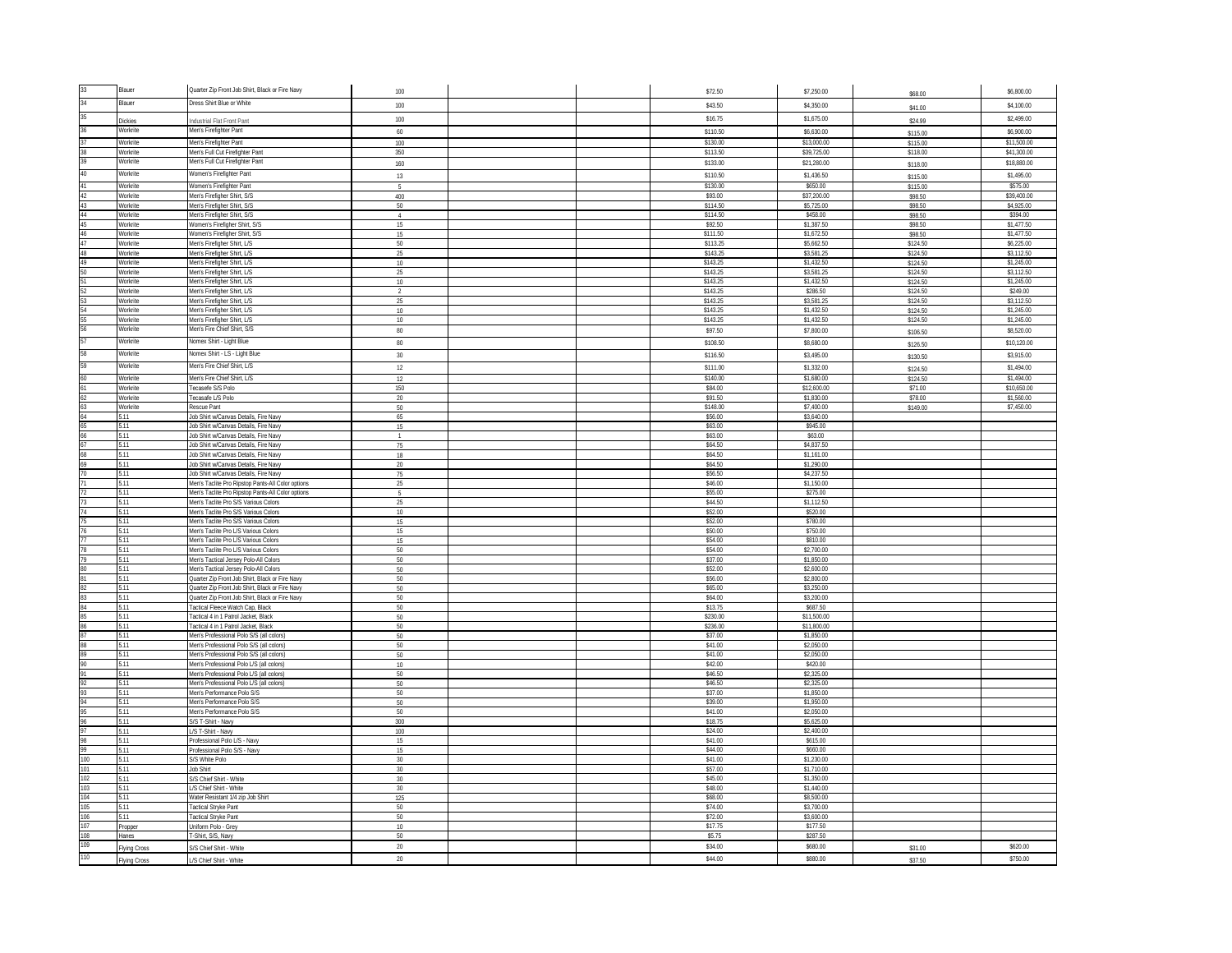|     | <b>Blauer</b>               | Quarter Zip Front Job Shirt, Black or Fire Navy                                           | 100                  |  | \$72.50              | \$7,250.00                | \$68.00              | \$6,800.00                |
|-----|-----------------------------|-------------------------------------------------------------------------------------------|----------------------|--|----------------------|---------------------------|----------------------|---------------------------|
|     | <b>Blauer</b>               | Dress Shirt Blue or White                                                                 | 100                  |  | \$43.50              | \$4,350.00                | \$41.00              | \$4,100.00                |
|     |                             |                                                                                           | 100                  |  | \$16.75              | \$1,675.00                |                      | \$2,499.00                |
|     | <b>Dickies</b><br>Workrite  | Industrial Flat Front Pant<br>Men's Firefighter Pant                                      | 60                   |  | \$110.50             | \$6,630.00                | \$24.99              | \$6,900.00                |
|     | Workrite                    | Men's Firefighter Pant                                                                    | 100                  |  | \$130.00             | \$13,000.00               | \$115.00<br>\$115.00 | \$11,500.00               |
|     | Workrite                    | Men's Full Cut Firefighter Pant                                                           | 350                  |  | \$113.50             | \$39,725.00               | \$118.00             | \$41,300.00               |
|     | Workrite                    | Men's Full Cut Firefighter Pant                                                           | 160                  |  | \$133.00             | \$21,280.00               | \$118.00             | \$18,880.00               |
|     | Workrite                    | Women's Firefighter Pant                                                                  | 13                   |  | \$110.50             | \$1,436.50                | \$115.00             | \$1,495.00                |
|     | <b>Norkrite</b>             | <b>Nomen's Firefighter Pant</b>                                                           | 5                    |  | \$130.00             | \$650.00                  | \$115.00             | \$575.00                  |
|     | <b>Norkrite</b>             | Men's Firefigher Shirt, S/S                                                               | 400                  |  | \$93.00              | \$37,200.00               | \$98.50              | \$39,400.00               |
|     | Workrite                    | Men's Firefigher Shirt, S/S                                                               | 50                   |  | \$114.50             | \$5,725.00                | \$98.50              | \$4,925.00                |
|     | Workrite<br>Workrite        | Men's Firefigher Shirt, S/S<br>Women's Firefigher Shirt, S/S                              | $\overline{4}$<br>15 |  | \$114.50<br>\$92.50  | \$458.00<br>\$1,387.50    | \$98.50<br>\$98.50   | \$394.00<br>\$1,477.50    |
|     | Workrite                    | Vomen's Firefigher Shirt, S/S                                                             | 15                   |  | \$111.50             | \$1,672.50                | \$98.50              | \$1,477.50                |
|     | <b>Norkrite</b>             | Men's Firefigher Shirt, L/S                                                               | $50\,$               |  | \$113.25             | \$5,662.50                | \$124.50             | \$6,225.00                |
|     | <b>Norkrite</b>             | Men's Firefigher Shirt, L/S                                                               | 25                   |  | \$143.25             | \$3,581.25                | \$124.50             | \$3,112.50                |
|     | Workrite                    | Men's Firefigher Shirt, L/S                                                               | 10                   |  | \$143.25             | \$1,432.50                | \$124.50             | \$1,245.00                |
|     | Workrite<br>Workrite        | Men's Firefigher Shirt, L/S<br>Men's Firefigher Shirt, L/S                                | 25<br>$10\,$         |  | \$143.25<br>\$143.25 | \$3,581.25<br>\$1,432.50  | \$124.50<br>\$124.50 | \$3,112.50<br>\$1,245.00  |
|     | Norkrite                    | Men's Firefigher Shirt, L/S                                                               | $\overline{2}$       |  | \$143.25             | \$286.50                  | \$124.50             | \$249.00                  |
|     | <b>Norkrite</b>             | Men's Firefigher Shirt, L/S                                                               | 25                   |  | \$143.25             | \$3,581.25                | \$124.50             | \$3,112.50                |
|     | Workrite                    | Men's Firefigher Shirt, L/S                                                               | $10\,$               |  | \$143.25             | \$1,432.50                | \$124.50             | \$1,245.00                |
|     | Workrite                    | Men's Firefigher Shirt, L/S                                                               | 10                   |  | \$143.25             | \$1,432.50                | \$124.50             | \$1,245.00                |
|     | Workrite                    | Men's Fire Chief Shirt, S/S                                                               | 80                   |  | \$97.50              | \$7,800.00                | \$106.50             | \$8,520.00                |
|     | Workrite                    | Nomex Shirt - Light Blue                                                                  | 80                   |  | \$108.50             | \$8,680.00                | \$126.50             | \$10,120.00               |
|     | <b>Norkrite</b>             | Nomex Shirt - LS - Light Blue                                                             | $30\,$               |  | \$116.50             | \$3,495.00                | \$130.50             | \$3,915.00                |
|     | Vorkrite                    | Men's Fire Chief Shirt, L/S                                                               | $12\,$               |  | \$111.00             | \$1,332.00                | \$124.50             | \$1,494.00                |
|     | <b>Norkrite</b><br>Workrite | Men's Fire Chief Shirt, L/S<br>Tecasefe S/S Polo                                          | 12<br>150            |  | \$140.00<br>\$84.00  | \$1,680.00<br>\$12,600.00 | \$124.50<br>\$71.00  | \$1,494.00<br>\$10,650.00 |
|     | Workrite                    | Tecasafe L/S Polo                                                                         | 20                   |  | \$91.50              | \$1,830.00                | \$78.00              | \$1,560.00                |
|     | Workrite                    | Rescue Pant                                                                               | 50 <sub>2</sub>      |  | \$148.00             | \$7,400.00                | \$149.00             | \$7,450.00                |
|     | 5.11                        | Job Shirt w/Canvas Details, Fire Navy                                                     | 65                   |  | \$56.00              | \$3,640.00                |                      |                           |
|     | .11                         | ob Shirt w/Canvas Details, Fire Navy                                                      | 15                   |  | \$63.00              | \$945.00                  |                      |                           |
|     | 5.11<br>5.11                | lob Shirt w/Canvas Details, Fire Navy<br>Job Shirt w/Canvas Details. Fire Navy            | $\overline{1}$<br>75 |  | \$63.00<br>\$64.50   | \$63.00<br>\$4,837.50     |                      |                           |
|     | 5.11                        | lob Shirt w/Canvas Details, Fire Navy                                                     | 18                   |  | \$64.50              | \$1,161.00                |                      |                           |
|     | 5.11                        | Job Shirt w/Canvas Details, Fire Navy                                                     | $20\,$               |  | \$64.50              | \$1,290.00                |                      |                           |
|     | 5.11                        | lob Shirt w/Canvas Details. Fire Navy                                                     | 75                   |  | \$56.50              | \$4,237.50                |                      |                           |
|     | .11                         | Men's Taclite Pro Ripstop Pants-All Color options                                         | 25                   |  | \$46.00<br>\$55.00   | \$1,150.00                |                      |                           |
|     | 5.11<br>$\overline{11}$     | Men's Taclite Pro Ripstop Pants-All Color options<br>Men's Taclite Pro S/S Various Colors | Б.<br>25             |  | \$44.50              | \$275.00<br>\$1,112.50    |                      |                           |
|     | 5.11                        | Men's Taclite Pro S/S Various Colors                                                      | 10                   |  | \$52.00              | \$520.00                  |                      |                           |
|     | 5.11                        | Men's Taclite Pro S/S Various Colors                                                      | 15                   |  | \$52.00              | \$780.00                  |                      |                           |
|     | 5.11                        | Men's Taclite Pro L/S Various Colors                                                      | 15                   |  | \$50.00              | \$750.00                  |                      |                           |
|     | 5.11<br>5.11                | Men's Taclite Pro L/S Various Colors<br>Men's Taclite Pro L/S Various Colors              | 15<br>50             |  | \$54.00<br>\$54.00   | \$810.00<br>\$2,700.00    |                      |                           |
|     | 5.11                        | Men's Tactical Jersey Polo-All Colors                                                     | 50                   |  | \$37.00              | \$1,850.00                |                      |                           |
|     | 5.11                        | Men's Tactical Jersey Polo-All Colors                                                     | 50 <sub>2</sub>      |  | \$52.00              | \$2,600.00                |                      |                           |
|     | 5.11                        | Quarter Zip Front Job Shirt, Black or Fire Navy                                           | 50                   |  | \$56.00              | \$2,800.00                |                      |                           |
|     | 5.11                        | Quarter Zip Front Job Shirt, Black or Fire Navy                                           | 50                   |  | \$65.00<br>\$64.00   | \$3,250.00<br>\$3,200.00  |                      |                           |
|     | 5.11<br>5.11                | Quarter Zip Front Job Shirt, Black or Fire Navy<br>Tactical Fleece Watch Cap, Black       | $50\,$<br>50         |  | \$13.75              | \$687.50                  |                      |                           |
|     | 5.11                        | Tactical 4 in 1 Patrol Jacket, Black                                                      | 50                   |  | \$230.00             | \$11,500.00               |                      |                           |
|     | 5.11                        | Tactical 4 in 1 Patrol Jacket, Black                                                      | $50\,$               |  | \$236.00             | \$11,800.00               |                      |                           |
|     | 5.11                        | Men's Professional Polo S/S (all colors)                                                  | 50                   |  | \$37.00              | \$1,850.00                |                      |                           |
|     | 5.11<br>5.11                | Men's Professional Polo S/S (all colors)<br>Men's Professional Polo S/S (all colors)      | 50<br>50             |  | \$41.00<br>\$41.00   | \$2,050.00<br>\$2,050.00  |                      |                           |
|     | 5.11                        | Men's Professional Polo L/S (all colors)                                                  | 10                   |  | \$42.00              | \$420.00                  |                      |                           |
|     | 5.11                        | Men's Professional Polo L/S (all colors)                                                  | 50                   |  | \$46.50              | \$2,325.00                |                      |                           |
|     | 5.11                        | Men's Professional Polo L/S (all colors)                                                  | 50                   |  | \$46.50              | \$2,325.00                |                      |                           |
|     | 5.11                        | Men's Performance Polo S/S                                                                | 50                   |  | \$37.00              | \$1,850.00                |                      |                           |
|     | 5.11<br>511                 | Men's Performance Polo S/S<br>Men's Performance Polo S/S                                  | 50<br>50             |  | \$39.00<br>\$41.00   | \$1,950.00<br>\$2,050.00  |                      |                           |
|     | 5.11                        | S/S T-Shirt - Navy                                                                        | 300                  |  | \$18.75              | \$5,625.00                |                      |                           |
|     | 5.11                        | L/S T-Shirt - Navy                                                                        | 100                  |  | \$24.00              | \$2,400.00                |                      |                           |
|     | 511                         | Professional Polo L/S - Navy                                                              | 15                   |  | \$41.00              | \$615.00                  |                      |                           |
| 100 | .11<br>5.11                 | Professional Polo S/S - Navy                                                              | 15<br>30             |  | \$44.00<br>\$41.00   | \$660.00<br>\$1,230.00    |                      |                           |
| 101 | 5.11                        | S/S White Polo<br><b>Job Shirt</b>                                                        | 30                   |  | \$57.00              | \$1,710.00                |                      |                           |
| 102 | 5.11                        | S/S Chief Shirt - White                                                                   | 30                   |  | \$45.00              | \$1,350.00                |                      |                           |
| 103 | 5.11                        | L/S Chief Shirt - White                                                                   | 30                   |  | \$48.00              | \$1,440.00                |                      |                           |
| 104 | 5.11                        | Water Resistant 1/4 zip Job Shirt                                                         | 125                  |  | \$68.00              | \$8,500.00                |                      |                           |
| 106 | .11<br>5.11                 | actical Stryke Pant<br>actical Stryke Pant                                                | 50<br>50             |  | \$74.00<br>\$72.00   | \$3,700.00<br>\$3,600.00  |                      |                           |
| 107 | Propper                     | <b>Uniform Polo - Grey</b>                                                                | 10                   |  | \$17.75              | \$177.50                  |                      |                           |
| 108 | Hanes                       | -Shirt, S/S, Navy                                                                         | 50                   |  | \$5.75               | \$287.50                  |                      |                           |
| 109 | <b>Tying Cross</b>          | S/S Chief Shirt - White                                                                   | $20\,$               |  | \$34.00              | \$680.00                  | \$31.00              | \$620.00                  |
| 110 | <b>Flying Cross</b>         | L/S Chief Shirt - White                                                                   | $20\,$               |  | \$44.00              | \$880.00                  | \$37.50              | \$750.00                  |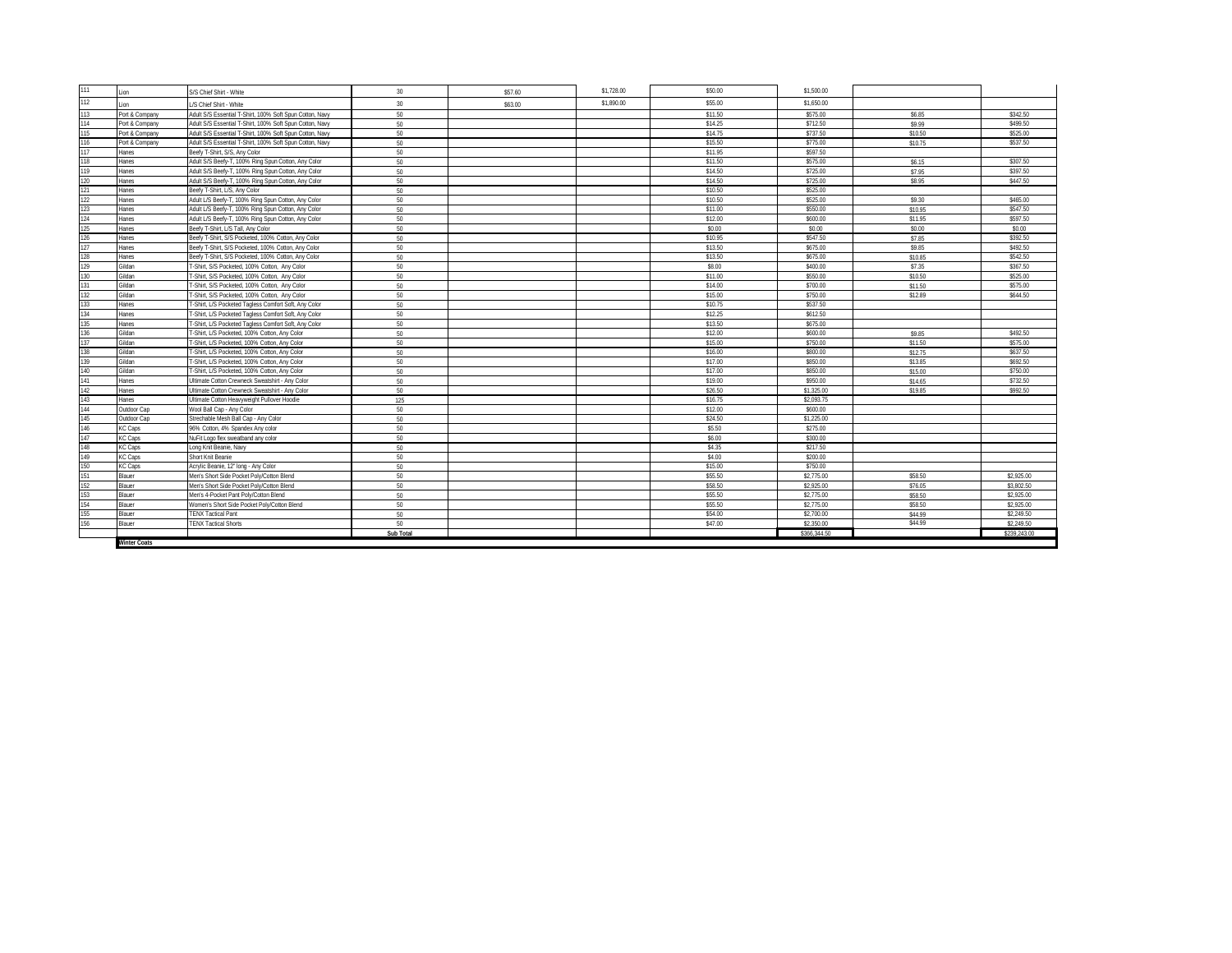| 111 | .ion                | S/S Chief Shirt - White                                  | 30        | \$57.60 | \$1,728.00 | \$50.00 | \$1,500.00   |         |              |
|-----|---------------------|----------------------------------------------------------|-----------|---------|------------|---------|--------------|---------|--------------|
| 112 | inn                 | JS Chief Shirt - White                                   | 30        | \$63.00 | \$1,890.00 | \$55.00 | \$1,650.00   |         |              |
| 113 | Port & Company      | Adult S/S Essential T-Shirt, 100% Soft Spun Cotton, Navy | 50        |         |            | \$11.50 | \$575.00     | \$6.85  | \$342.50     |
| 114 | Port & Company      | Adult S/S Essential T-Shirt, 100% Soft Spun Cotton, Navy | 50        |         |            | \$14.25 | \$712.50     | \$9.99  | \$499.50     |
| 115 | Port & Company      | Adult S/S Essential T-Shirt, 100% Soft Spun Cotton, Navy | 50        |         |            | \$14.75 | \$737.50     | \$10.50 | \$525.00     |
| 116 | Port & Company      | Adult S/S Essential T-Shirt. 100% Soft Spun Cotton. Navv | 50        |         |            | \$15.50 | \$775.00     | \$10.75 | \$537.50     |
| 117 | <b>lanes</b>        | Beefy T-Shirt, S/S. Any Color                            | 50        |         |            | \$11.95 | \$597.50     |         |              |
| 118 | lanes               | Adult S/S Beefy-T, 100% Ring Spun Cotton, Any Color      | 50        |         |            | \$11.50 | \$575.00     | \$6.15  | \$307.50     |
| 119 | Hanes               | Adult S/S Beefy-T, 100% Ring Spun Cotton, Any Color      | 50        |         |            | \$14.50 | \$725.00     | \$7.95  | \$397.50     |
| 120 | Hanes               | Adult S/S Beefy-T, 100% Ring Spun Cotton, Any Color      | 50        |         |            | \$14.50 | \$725.00     | \$8.95  | \$447.50     |
| 121 | Hanes               | Beefy T-Shirt, L/S, Any Color                            | 50        |         |            | \$10.50 | \$525.00     |         |              |
| 122 | <b>lanes</b>        | Adult L/S Beefy-T, 100% Ring Spun Cotton, Any Color      | 50        |         |            | \$10.50 | \$525.00     | \$9.30  | \$465.00     |
| 123 | <b>lanes</b>        | Adult L/S Beefy-T, 100% Ring Spun Cotton, Any Color      | 50        |         |            | \$11.00 | \$550.00     | \$10.95 | \$547.50     |
| 124 | lanes               | Adult L/S Beefy-T, 100% Ring Spun Cotton, Any Color      | 50        |         |            | \$12.00 | \$600.00     | \$11.95 | \$597.50     |
| 125 | lanes               | Beefy T-Shirt, L/S Tall, Any Color                       | 50        |         |            | \$0.00  | \$0.00       | \$0.00  | \$0.00       |
| 126 | <b>lanes</b>        | Beefy T-Shirt, S/S Pocketed, 100% Cotton, Any Color      | 50        |         |            | \$10.95 | \$547.50     | \$7.85  | \$392.50     |
|     | lanes               | Beefy T-Shirt. S/S Pocketed. 100% Cotton. Any Color      | 50        |         |            | \$13.50 | \$675.00     | \$9.85  | \$492.50     |
| 128 | <b>lanes</b>        | Beefy T-Shirt, S/S Pocketed, 100% Cotton, Any Color      | 50        |         |            | \$13.50 | \$675.00     | \$10.85 | \$542.50     |
| 129 | Gildan              | T-Shirt, S/S Pocketed, 100% Cotton, Any Color            | 50        |         |            | \$8.00  | \$400.00     | \$7.35  | \$367.50     |
| 130 | Gildan              | T-Shirt, S/S Pocketed, 100% Cotton, Any Color            | 50        |         |            | \$11.00 | \$550.00     | \$10.50 | \$525.00     |
| 131 | Gildan              | T-Shirt, S/S Pocketed, 100% Cotton, Any Color            | 50        |         |            | \$14.00 | \$700.00     | \$11.50 | \$575.00     |
| 132 | Gildan              | T-Shirt, S/S Pocketed, 100% Cotton, Any Color            | 50        |         |            | \$15.00 | \$750.00     | \$12.89 | \$644.50     |
| 133 | Hanes               | T-Shirt, L/S Pocketed Tagless Comfort Soft, Any Color    | 50        |         |            | \$10.75 | \$537.50     |         |              |
| 134 | Hanes               | T-Shirt, L/S Pocketed Tagless Comfort Soft, Any Color    | 50        |         |            | \$12.25 | \$612.50     |         |              |
| 135 | <b>lanes</b>        | T-Shirt, L/S Pocketed Tagless Comfort Soft, Any Color    | 50        |         |            | \$13.50 | \$675.00     |         |              |
| 136 | Gildan              | T-Shirt, L/S Pocketed, 100% Cotton, Any Color            | 50        |         |            | \$12.00 | \$600.00     | \$9.85  | \$492.50     |
|     | Gildan              | -Shirt, L/S Pocketed, 100% Cotton, Any Color             | 50        |         |            | \$15.00 | \$750.00     | \$11.50 | \$575.00     |
| 138 | ildan               | T-Shirt, L/S Pocketed, 100% Cotton, Any Color            | 50        |         |            | \$16.00 | \$800.00     | \$12.75 | \$637.50     |
| 139 | Gildan              | T-Shirt, L/S Pocketed, 100% Cotton, Any Color            | 50        |         |            | \$17.00 | \$850.00     | \$13.85 | \$692.50     |
| 140 | Gildan              | T-Shirt, L/S Pocketed, 100% Cotton, Any Color            | 50        |         |            | \$17.00 | \$850.00     | \$15.00 | \$750.00     |
| 141 | Hanes               | JItimate Cotton Crewneck Sweatshirt - Any Color          | 50        |         |            | \$19.00 | \$950.00     | \$14.65 | \$732.50     |
| 142 | <b>lanes</b>        | JItimate Cotton Crewneck Sweatshirt - Any Color          | 50        |         |            | \$26.50 | \$1,325.00   | \$19.85 | \$992.50     |
| 143 | lanes               | Jltimate Cotton Heavyweight Pullover Hoodie              | 125       |         |            | \$16.75 | \$2,093.75   |         |              |
| 144 | Outdoor Cap         | Wool Ball Cap - Any Color                                | 50        |         |            | \$12.00 | \$600.00     |         |              |
| 145 | Outdoor Cap         | Strechable Mesh Ball Cap - Any Color                     | 50        |         |            | \$24.50 | \$1,225.00   |         |              |
| 146 | <b>KC Caps</b>      | 96% Cotton, 4% Spandex Any color                         | 50        |         |            | \$5.50  | \$275.00     |         |              |
| 147 | <b>KC Caps</b>      | NuFit Logo flex sweatband any color                      | 50        |         |            | \$6.00  | \$300.00     |         |              |
| 148 | KC Caps             | ong Knit Beanie, Navy                                    | 50        |         |            | \$4.35  | \$217.50     |         |              |
| 149 | <b>KC Caps</b>      | Short Knit Beanie                                        | 50        |         |            | \$4.00  | \$200.00     |         |              |
| 150 | KC Caps             | Acrylic Beanie, 12" long - Any Color                     | 50        |         |            | \$15.00 | \$750.00     |         |              |
| 151 | <b>Blauer</b>       | Men's Short Side Pocket Poly/Cotton Blend                | 50        |         |            | \$55.50 | \$2,775.00   | \$58.50 | \$2,925.00   |
| 152 | <b>Blauer</b>       | Men's Short Side Pocket Poly/Cotton Blend                | 50        |         |            | \$58.50 | \$2,925.00   | \$76.05 | \$3,802.50   |
| 153 | <b>Blauer</b>       | Men's 4-Pocket Pant Poly/Cotton Blend                    | 50        |         |            | \$55.50 | \$2,775.00   | \$58.50 | \$2,925.00   |
| 154 | <b>Blauer</b>       | Nomen's Short Side Pocket Poly/Cotton Blend              | 50        |         |            | \$55.50 | \$2,775.00   | \$58.50 | \$2,925.00   |
| 155 | <b>Blauer</b>       | <b>TENX Tactical Pant</b>                                | 50        |         |            | \$54.00 | \$2,700.00   | \$44.99 | \$2,249.50   |
| 156 | Blauer              | <b>TENX Tactical Shorts</b>                              | 50        |         |            | \$47.00 | \$2,350.00   | \$44.99 | \$2,249.50   |
|     |                     |                                                          | Sub Total |         |            |         | \$366,344.50 |         | \$239,243.00 |
|     | <b>Winter Coats</b> |                                                          |           |         |            |         |              |         |              |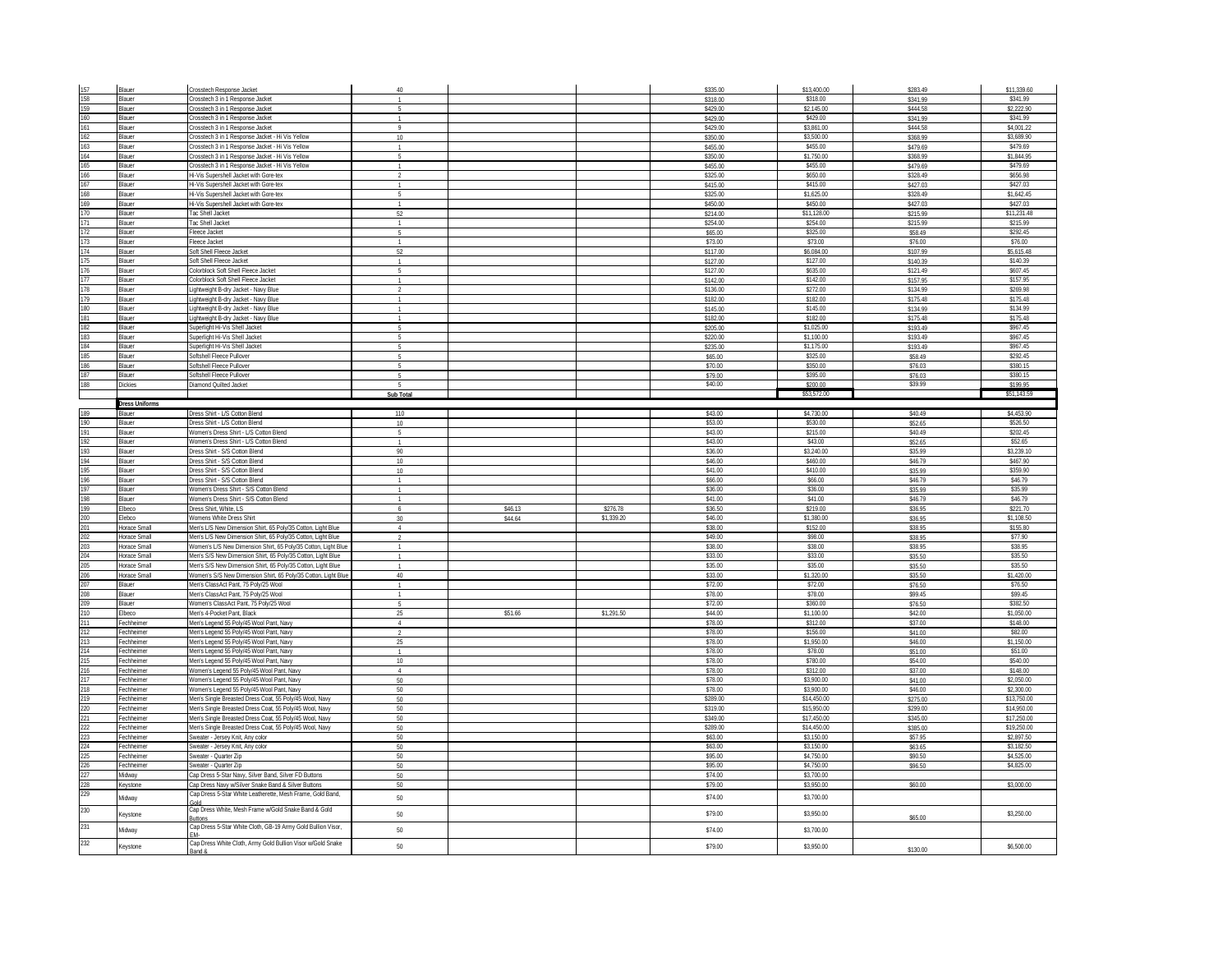| 157        | Blauer                       | Crosstech Response Jacket                                                                                                      | $\Delta \Omega$  |                    |                        | \$335.00             | \$13,400.00            | \$283.49            | \$11.339.60            |
|------------|------------------------------|--------------------------------------------------------------------------------------------------------------------------------|------------------|--------------------|------------------------|----------------------|------------------------|---------------------|------------------------|
| 158        | <b>Blauer</b>                | Crosstech 3 in 1 Response Jacket                                                                                               |                  |                    |                        | \$318.00             | \$318.00               | \$341.99            | \$341.99               |
| 159        | Blauer                       | Crosstech 3 in 1 Response Jacket                                                                                               | $\overline{5}$   |                    |                        | \$429.00             | \$2,145.00             | \$444.58            | \$2,222.90             |
| 160        | Blauer                       | Crosstech 3 in 1 Response Jacket                                                                                               | $\mathbf{1}$     |                    |                        | \$429.00             | \$429.00               | \$341.99            | \$341.99               |
| 161        | Blauer                       | Crosstech 3 in 1 Response Jacket                                                                                               | Q                |                    |                        | \$429.00             | \$3.861.00             | \$444.58            | \$4,001.22             |
| 162        | <b>Blauer</b>                | rosstech 3 in 1 Response Jacket - Hi Vis Yellow                                                                                | 10               |                    |                        | \$350.00             | \$3,500.00             | \$368.99            | \$3,689.90             |
| 163        | Blauer                       | Crosstech 3 in 1 Response Jacket - Hi Vis Yellow                                                                               |                  |                    |                        | \$455.00             | \$455.00               | \$479.69            | \$479.69               |
| 164        | Blauer                       | Crosstech 3 in 1 Response Jacket - Hi Vis Yellow                                                                               |                  |                    |                        | \$350.00             | \$1,750.00             | \$368.99            | \$1,844.95             |
| 165        | <b>Blauer</b>                | Crosstech 3 in 1 Response Jacket - Hi Vis Yellow                                                                               |                  |                    |                        | \$455.00             | \$455.00               | \$479.69            | \$479.69               |
| 166        | Blauer                       | Hi-Vis Supershell Jacket with Gore-tex                                                                                         | $\overline{2}$   |                    |                        | \$325.00             | \$650.00               | \$328.49            | \$656.98               |
| 167        | <b>Blauer</b>                | Hi-Vis Supershell Jacket with Gore-tex                                                                                         |                  |                    |                        | \$415.00             | \$415.00               | \$427.03            | \$427.03               |
| 168        | <b>Blauer</b>                | li-Vis Supershell Jacket with Gore-tex                                                                                         | $\mathbf{F}_k$   |                    |                        | \$325.00             | \$1,625.00             | \$328.49            | \$1,642.45             |
| 169        | Blauer                       | li-Vis Supershell Jacket with Gore-tex                                                                                         |                  |                    |                        | \$450.00             | \$450.00               | \$427.03            | \$427.03               |
| 170        | Blauer                       | Tac Shell Jacket                                                                                                               | 52               |                    |                        | \$214.00             | \$11.128.00            | \$215.99            | \$11,231.48            |
| 171        | Blauer                       | <b>Tac Shell Jacket</b>                                                                                                        | $\mathbf{1}$     |                    |                        | \$254.00             | \$254.00               | \$215.99            | \$215.99               |
| 172        | Blauer                       | leece Jacket                                                                                                                   | $\mathbf{R}$     |                    |                        | \$65.00              | \$325.00               | \$58.49             | \$292.45               |
| 173<br>174 | Blauer<br>Blauer             | Fleece Jacket<br>Soft Shell Fleece Jacket                                                                                      | $\overline{1}$   |                    |                        | \$73.00              | \$73.00<br>\$6.084.00  | \$76.00<br>\$107.99 | \$76.00<br>\$5,615.48  |
| 175        | <b>Blauer</b>                | Soft Shell Fleece Jacket                                                                                                       | 52               |                    |                        | \$117.00<br>\$127.00 | \$127.00               | \$140.39            | \$140.39               |
|            |                              | Colorblock Soft Shell Fleece Jacket                                                                                            | -5               |                    |                        |                      | \$635.00               | \$121.49            | \$607.45               |
| 176<br>177 | Blauer<br><b>Blauer</b>      | Colorblock Soft Shell Fleece Jacket                                                                                            |                  |                    |                        | \$127.00<br>\$142.00 | \$142.00               | \$157.95            | \$157.95               |
| 178        | Blauer                       | ightweight B-dry Jacket - Navy Blue                                                                                            |                  |                    |                        | \$136.00             | \$272.00               | \$134.99            | \$269.98               |
| 179        | Blauer                       | Lightweight B-dry Jacket - Navy Blue                                                                                           |                  |                    |                        | \$182.00             | \$182.00               | \$175.48            | \$175.48               |
| 180        | Blauer                       | Lightweight B-dry Jacket - Navy Blue                                                                                           | $\overline{1}$   |                    |                        | \$145.00             | \$145.00               | \$134.99            | \$134.99               |
| 181        | Blauer                       | ightweight B-dry Jacket - Navy Blue                                                                                            |                  |                    |                        | \$182.00             | \$182.00               | \$175.48            | \$175.48               |
| 182        | Blauer                       | Superlight Hi-Vis Shell Jacket                                                                                                 | Б.               |                    |                        | \$205.00             | \$1,025.00             | \$193.49            | \$967.45               |
| 183        | <b>Blauer</b>                | Superlight Hi-Vis Shell Jacket                                                                                                 | $\mathbf{F}_k$   |                    |                        | \$220.00             | \$1,100.00             | \$193.49            | \$967.45               |
| 184        | Blauer                       | Superlight Hi-Vis Shell Jacket                                                                                                 |                  |                    |                        | \$235.00             | \$1,175.00             | \$193.49            | \$967.45               |
| 185        | Blauer                       | Softshell Fleece Pullover                                                                                                      | $\mathbb{R}$     |                    |                        | \$65.00              | \$325.00               | \$58.49             | \$292.45               |
| 186        | Blauer                       | Softshell Fleece Pullover                                                                                                      | -5               |                    |                        | \$70.00              | \$350.00               | \$76.03             | \$380.15               |
| 187        | <b>Blauer</b>                | Softshell Fleece Pullover                                                                                                      | $\mathbf{r}_i$   |                    |                        | \$79.00              | \$395.00               | \$76.03             | \$380.15               |
| 188        | Dickies                      | <b>Diamond Quilted Jacket</b>                                                                                                  |                  |                    |                        | \$40.00              | \$200.00               | \$39.99             | \$199.95               |
|            |                              |                                                                                                                                | Sub Total        |                    |                        |                      | \$53,572.00            |                     | \$51,143.59            |
|            | Dress Uniforms               |                                                                                                                                |                  |                    |                        |                      |                        |                     |                        |
| 189        | Blauer                       | Dress Shirt - L/S Cotton Blend                                                                                                 | 110              |                    |                        | \$43.00              | \$4,730.00             | \$40.49             | \$4,453.90             |
| 190        | Blauer                       | Dress Shirt - L/S Cotton Blend                                                                                                 | 10 <sup>10</sup> |                    |                        | \$53.00              | \$530.00               | \$52.65             | \$526.50               |
| 191        | <b>Blauer</b>                | Nomen's Dress Shirt - L/S Cotton Blend                                                                                         | -5               |                    |                        | \$43.00              | \$215.00               | \$40.49             | \$202.45               |
| 192        | Blauer                       | Vomen's Dress Shirt - L/S Cotton Blend                                                                                         |                  |                    |                        | \$43.00              | \$43.00                | \$52.65             | \$52.65                |
| 193        | Blauer                       | Dress Shirt - S/S Cotton Blend                                                                                                 | 90               |                    |                        | \$36.00              | \$3.240.00             | \$35.99             | \$3.239.10             |
| 194        | Blauer                       | Dress Shirt - S/S Cotton Blend                                                                                                 | 10               |                    |                        | \$46.00              | \$460.00               | \$46.79             | \$467.90               |
| 195        | Blauer                       | Dress Shirt - S/S Cotton Blend                                                                                                 | 10               |                    |                        | \$41.00              | \$410.00               | \$35.99             | \$359.90               |
| 196        | Blauer                       | Dress Shirt - S/S Cotton Blend                                                                                                 | $\mathbf{1}$     |                    |                        | \$66.00              | \$66.00                | \$46.79             | \$46.79                |
| 197        | Blauer                       | Nomen's Dress Shirt - S/S Cotton Blend                                                                                         |                  |                    |                        | \$36.00              | \$36.00                | \$35.99             | \$35.99                |
| 198        |                              |                                                                                                                                |                  |                    |                        |                      |                        |                     |                        |
|            | <b>Blauer</b>                |                                                                                                                                |                  |                    |                        |                      |                        |                     |                        |
|            |                              | Vomen's Dress Shirt - S/S Cotton Blend<br>Dress Shirt, White, LS                                                               |                  |                    |                        | \$41.00<br>\$36.50   | \$41.00                | \$46.79             | \$46.79                |
| 199<br>200 | Elbeco<br>Flebco             | Womens White Dress Shirt                                                                                                       | $\overline{30}$  | \$46.13<br>\$44.64 | \$276.78<br>\$1.339.20 | \$46.00              | \$219.00<br>\$1,380.00 | \$36.95             | \$221.70<br>\$1,108.50 |
| 201        | Horace Smal                  | Men's L/S New Dimension Shirt, 65 Poly/35 Cotton, Light Blue                                                                   | $\overline{4}$   |                    |                        | \$38.00              | \$152.00               | \$36.95<br>\$38.95  | \$155.80               |
|            |                              |                                                                                                                                | $\overline{2}$   |                    |                        |                      |                        |                     |                        |
| 202<br>203 | Horace Small<br>Horace Small | Men's L/S New Dimension Shirt, 65 Poly/35 Cotton, Light Blue<br>Women's L/S New Dimension Shirt, 65 Poly/35 Cotton, Light Blue | $\overline{1}$   |                    |                        | \$49.00<br>\$38.00   | \$98.00<br>\$38.00     | \$38.95<br>\$38.95  | \$77.90<br>\$38.95     |
| 204        | Horace Small                 | Men's S/S New Dimension Shirt, 65 Poly/35 Cotton, Light Blue                                                                   |                  |                    |                        | \$33.00              | \$33.00                | \$35.50             | \$35.50                |
|            | Horace Smal                  |                                                                                                                                |                  |                    |                        |                      |                        |                     |                        |
| 205<br>206 | Horace Small                 | Men's S/S New Dimension Shirt, 65 Poly/35 Cotton, Light Blue<br>Women's S/S New Dimension Shirt, 65 Polv/35 Cotton, Light Blue | 40               |                    |                        | \$35.00<br>\$33.00   | \$35.00<br>\$1,320.00  | \$35.50<br>\$35.50  | \$35.50<br>\$1,420.00  |
| 207        | <b>Blauer</b>                | Men's ClassAct Pant, 75 Poly/25 Wool                                                                                           |                  |                    |                        | \$72.00              | \$72.00                | \$76.50             | \$76.50                |
| 208        | Blauer                       | Men's ClassAct Pant, 75 Poly/25 Wool                                                                                           |                  |                    |                        | \$78.00              | \$78.00                | \$99.45             | \$99.45                |
| 209        | Blauer                       | Women's ClassAct Pant, 75 Poly/25 Wool                                                                                         | -5               |                    |                        | \$72.00              | \$360.00               | \$76.50             | \$382.50               |
| 210        | Elbeco                       | Men's 4-Pocket Pant, Black                                                                                                     | 25               | \$51.66            | \$1,291.50             | \$44.00              | \$1,100.00             | \$42.00             | \$1,050.00             |
| 211        | Fechheime                    | Men's Legend 55 Poly/45 Wool Pant, Navy                                                                                        | $\overline{4}$   |                    |                        | \$78.00              | \$312.00               | \$37.00             | \$148.00               |
| 212        | Fechheime                    | Men's Legend 55 Poly/45 Wool Pant, Navy                                                                                        |                  |                    |                        | \$78.00              | \$156.00               | \$41.00             | \$82.00                |
| 213        | Fechheimer                   | Men's Legend 55 Poly/45 Wool Pant, Navy                                                                                        | 25               |                    |                        | \$78.00              | \$1,950.00             | \$46.00             | \$1,150.00             |
| 214        | Fechheimer                   | Men's Legend 55 Poly/45 Wool Pant, Navy                                                                                        |                  |                    |                        | \$78.00              | \$78.00                | \$51.00             | \$51.00                |
| 215        | Fechheimer                   | Men's Legend 55 Poly/45 Wool Pant, Navy                                                                                        | $10\,$           |                    |                        | \$78.00              | \$780.00               | \$54.00             | \$540.00               |
| 216        | Fechheimer                   | Women's Legend 55 Poly/45 Wool Pant, Navy                                                                                      | $\overline{4}$   |                    |                        | \$78.00              | \$312.00               | \$37.00             | \$148.00               |
| 217        | echheimer                    | Vomen's Legend 55 Poly/45 Wool Pant, Navy                                                                                      | $50\,$           |                    |                        | \$78.00              | \$3,900.00             | \$41.00             | \$2,050.00             |
| 218        | Fechheimer                   | Women's Legend 55 Poly/45 Wool Pant, Navy                                                                                      | 50               |                    |                        | \$78.00              | \$3,900.00             | \$46.00             | \$2,300.00             |
| 219        | Fechheimer                   | Men's Single Breasted Dress Coat, 55 Poly/45 Wool, Navy                                                                        | 50               |                    |                        | \$289.00             | \$14,450.00            | \$275.00            | \$13,750.00            |
| 220        | Fechheimer                   | Men's Single Breasted Dress Coat, 55 Poly/45 Wool, Navy                                                                        | 50               |                    |                        | \$319.00             | \$15,950.00            | \$299.00            | \$14,950.00            |
| 221        | Fechheimer                   | Men's Single Breasted Dress Coat, 55 Poly/45 Wool, Navy                                                                        | 50               |                    |                        | \$349.00             | \$17,450.00            | \$345.00            | \$17,250.00            |
| 222        | Fechheimer                   | Men's Single Breasted Dress Coat, 55 Poly/45 Wool, Navy                                                                        | 50               |                    |                        | \$289.00             | \$14,450.00            | \$385.00            | \$19,250.00            |
| 223        | echheimer                    | Sweater - Jersey Knit, Any color                                                                                               | 50               |                    |                        | \$63.00              | \$3,150.00             | \$57.95             | \$2,897.50             |
| 224        | echheimer                    | Sweater - Jersey Knit, Any color                                                                                               | $50\,$           |                    |                        | \$63.00              | \$3,150.00             | \$63.65             | \$3,182.50             |
| 225        | Fechheimer                   | Sweater - Quarter Zin                                                                                                          | 50               |                    |                        | \$95.00              | \$4,750,00             | \$90.50             | \$4,525,00             |
| 226        | Fechheime                    | Sweater - Quarter Zip                                                                                                          | 50               |                    |                        | \$95.00              | \$4,750.00             | \$96.50             | \$4,825.00             |
| 227        | Midway                       | Cap Dress 5-Star Navy, Silver Band, Silver FD Buttons                                                                          | $50\,$           |                    |                        | \$74.00              | \$3,700.00             |                     |                        |
| 228        | Keystone                     | Cap Dress Navy w/Silver Snake Band & Silver Buttons                                                                            | 50               |                    |                        | \$79.00              | \$3,950.00             | \$60.00             | \$3,000.00             |
| 229        |                              | Cap Dress 5-Star White Leatherette, Mesh Frame, Gold Band,                                                                     |                  |                    |                        |                      | \$3,700.00             |                     |                        |
|            | Midway                       | hln2                                                                                                                           | $50\,$           |                    |                        | \$74.00              |                        |                     |                        |
| 230        | Ceystone                     | Cap Dress White, Mesh Frame w/Gold Snake Band & Gold                                                                           | 50               |                    |                        | \$79.00              | \$3,950.00             |                     | \$3,250.00             |
| 231        |                              | <b>Suttons</b>                                                                                                                 |                  |                    |                        |                      |                        | \$65.00             |                        |
|            | Midway                       | Cap Dress 5-Star White Cloth, GB-19 Army Gold Bullion Visor,                                                                   | 50               |                    |                        | \$74.00              | \$3,700.00             |                     |                        |
| 232        | Keystone                     | Cap Dress White Cloth, Army Gold Bullion Visor w/Gold Snake<br>and &                                                           | 50               |                    |                        | \$79.00              | \$3,950.00             | \$130.00            | \$6,500.00             |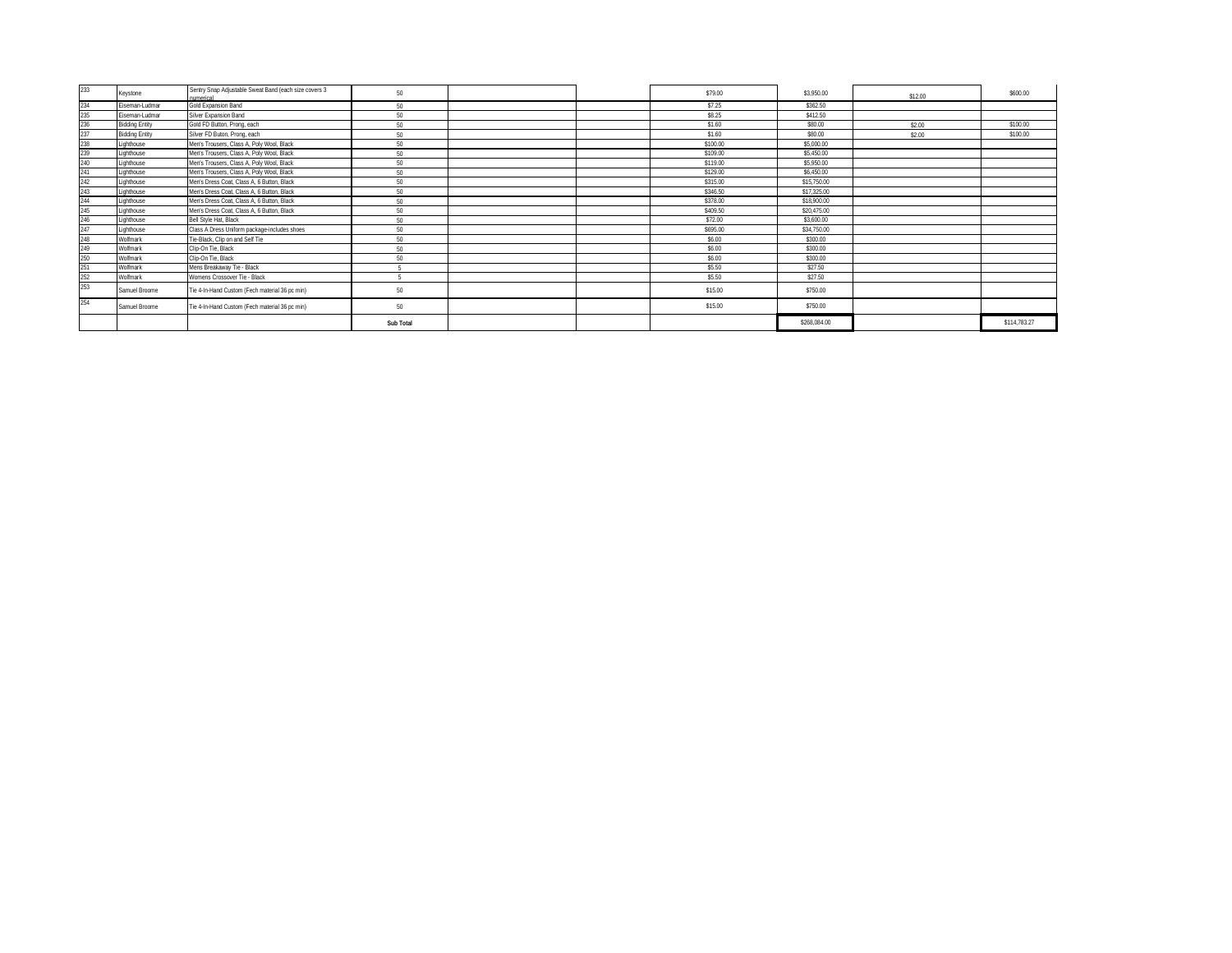| 233 | Keystone              | Sentry Snap Adjustable Sweat Band (each size covers 3<br>Ikhiemur | 50        |  | \$79.00  | \$3,950.00   | \$12.00 | \$600.00     |
|-----|-----------------------|-------------------------------------------------------------------|-----------|--|----------|--------------|---------|--------------|
| 234 | Eiseman-Ludmar        | Gold Expansion Band                                               | 50        |  | \$7.25   | \$362.50     |         |              |
| 235 | Eiseman-Ludmar        | Silver Expansion Band                                             | 50        |  | \$8.25   | \$412.50     |         |              |
| 236 | <b>Bidding Entity</b> | Gold FD Button, Prong, each                                       | 50        |  | \$1.60   | \$80.00      | \$2.00  | \$100.00     |
| 237 | <b>Bidding Entity</b> | Silver FD Buton, Prong, each                                      | 50        |  | \$1.60   | \$80.00      | \$2.00  | \$100.00     |
| 238 | Lighthouse            | Men's Trousers, Class A, Poly Wool, Black                         | 50        |  | \$100.00 | \$5,000.00   |         |              |
| 239 | Lighthouse            | Men's Trousers, Class A, Poly Wool, Black                         | 50        |  | \$109.00 | \$5,450.00   |         |              |
| 240 | Lighthouse            | Men's Trousers, Class A, Poly Wool, Black                         | 50        |  | \$119.00 | \$5,950.00   |         |              |
|     | Lighthouse            | Men's Trousers, Class A, Poly Wool, Black                         | 50        |  | \$129.00 | \$6,450.00   |         |              |
| 242 | Lighthouse            | Men's Dress Coat, Class A, 6 Button, Black                        | 50        |  | \$315.00 | \$15,750.00  |         |              |
| 243 | Lighthouse            | Men's Dress Coat, Class A, 6 Button, Black                        | 50        |  | \$346.50 | \$17,325.00  |         |              |
| 244 | Lighthouse            | Men's Dress Coat, Class A, 6 Button, Black                        | 50        |  | \$378.00 | \$18,900.00  |         |              |
| 245 | Lighthouse            | Men's Dress Coat, Class A, 6 Button, Black                        | 50        |  | \$409.50 | \$20.475.00  |         |              |
| 246 | Lighthouse            | Bell Style Hat, Black                                             | 50        |  | \$72.00  | \$3,600.00   |         |              |
| 247 | Lighthouse            | Class A Dress Uniform package-includes shoes                      | 50        |  | \$695.00 | \$34,750.00  |         |              |
| 248 | Wolfmark              | Tie-Black, Clip on and Self Tie                                   | 50        |  | \$6.00   | \$300.00     |         |              |
| 249 | Wolfmark              | Clip-On Tie, Black                                                | 50        |  | \$6.00   | \$300.00     |         |              |
| 250 | Wolfmark              | Clip-On Tie, Black                                                | 50        |  | \$6.00   | \$300.00     |         |              |
| 251 | Wolfmark              | Mens Breakaway Tie - Black                                        |           |  | \$5.50   | \$27.50      |         |              |
| 252 | Wolfmark              | Womens Crossover Tie - Black                                      |           |  | \$5.50   | \$27.50      |         |              |
| 253 | Samuel Broome         | Tie 4-In-Hand Custom (Fech material 36 pc min)                    | 50        |  | \$15.00  | \$750.00     |         |              |
| 254 | Samuel Broome         | Tie 4-In-Hand Custom (Fech material 36 pc min)                    | 50        |  | \$15.00  | \$750.00     |         |              |
|     |                       |                                                                   | Sub Total |  |          | \$268,084.00 |         | \$114,783.27 |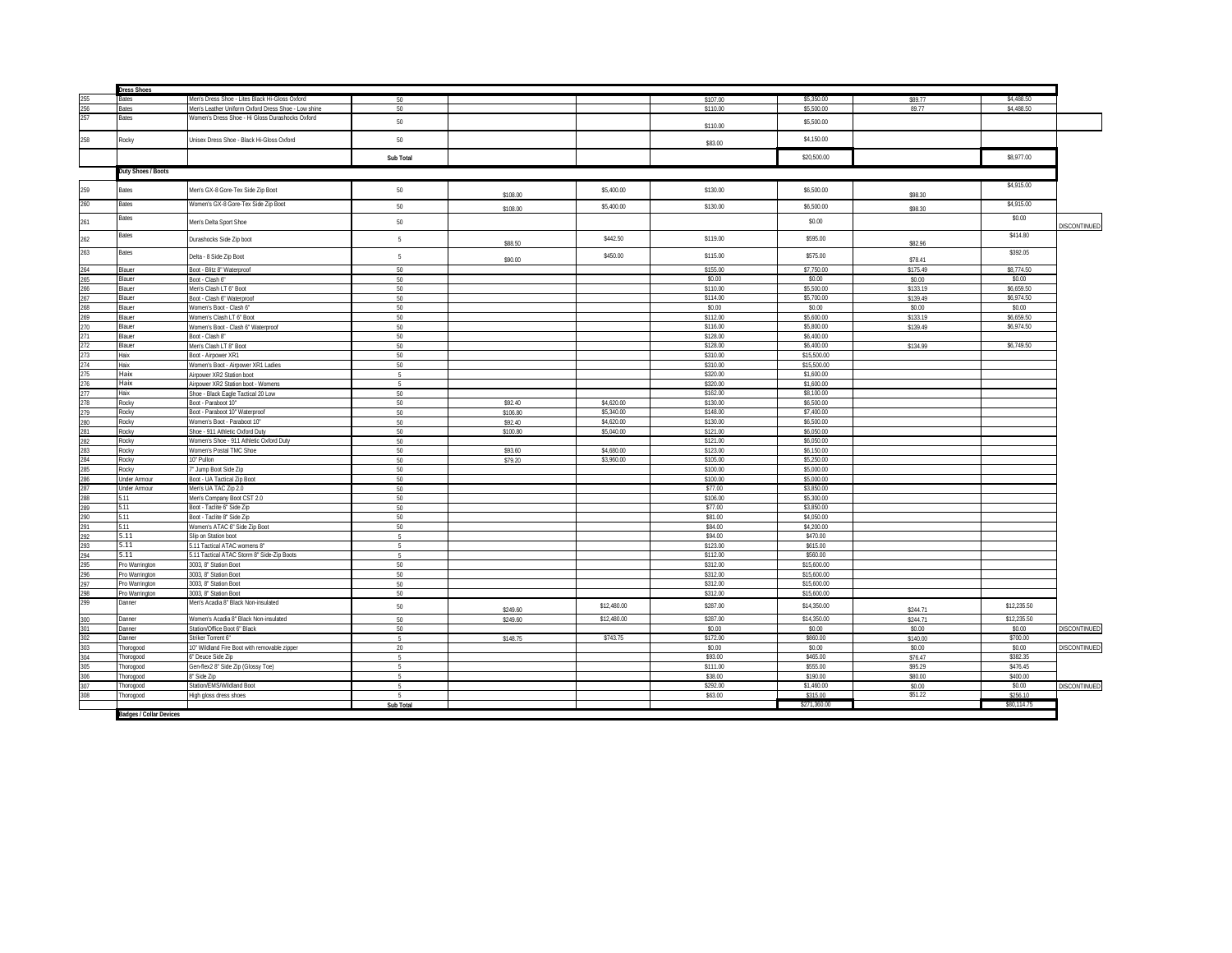|                                               | <b>Dress Shoes</b>               |                                                     |                          |                      |             |          |              |                      |             |                     |
|-----------------------------------------------|----------------------------------|-----------------------------------------------------|--------------------------|----------------------|-------------|----------|--------------|----------------------|-------------|---------------------|
|                                               | Bates                            | Men's Dress Shoe - Lites Black Hi-Gloss Oxford      | 50                       |                      |             | \$107.00 | \$5,350.00   | \$89.77              | \$4,488.50  |                     |
|                                               | <b>Bates</b>                     | Men's Leather Uniform Oxford Dress Shoe - Low shine | 50                       |                      |             | \$110.00 | \$5,500.00   | 89.77                | \$4,488.50  |                     |
| 255<br>256<br>257                             | Bates                            | Vomen's Dress Shoe - Hi Gloss Durashocks Oxford     | 50                       |                      |             | \$110.00 | \$5,500.00   |                      |             |                     |
| 258                                           | Rocky                            | Unisex Dress Shoe - Black Hi-Gloss Oxford           | 50                       |                      |             | \$83.00  | \$4,150.00   |                      |             |                     |
|                                               |                                  |                                                     | Sub Total                |                      |             |          | \$20,500.00  |                      | \$8,977.00  |                     |
|                                               | Duty Shoes / Boots               |                                                     |                          |                      |             |          |              |                      |             |                     |
|                                               |                                  |                                                     |                          |                      |             |          |              |                      |             |                     |
| 259                                           | <b>Bates</b>                     | Men's GX-8 Gore-Tex Side Zip Boot                   | 50                       | \$108.00             | \$5,400.00  | \$130.00 | \$6,500.00   | \$98.30              | \$4,915.00  |                     |
| 260                                           | Bates                            | Women's GX-8 Gore-Tex Side Zip Boot                 | 50                       | \$108.00             | \$5,400.00  | \$130.00 | \$6,500.00   | \$98.30              | \$4,915.00  |                     |
| 261                                           | Bates                            | Men's Delta Sport Shoe                              | 50                       |                      |             |          | \$0.00       |                      | \$0.00      | <b>DISCONTINUED</b> |
| 262                                           | Bates                            | Durashocks Side Zip boot                            | 5                        | \$88.50              | \$442.50    | \$119.00 | \$595.00     | \$82.96              | \$414.80    |                     |
| 263                                           | Bates                            | Delta - 8 Side Zip Boot                             | 5                        | \$90.00              | \$450.00    | \$115.00 | \$575.00     | \$78.41              | \$392.05    |                     |
|                                               | Blauer                           | Boot - Blitz 8" Waterproof                          | $50^{-}$                 |                      |             | \$155.00 | \$7,750.00   | \$175.49             | \$8,774.50  |                     |
|                                               | Blauer                           | Boot - Clash 6*                                     | 50                       |                      |             | \$0.00   | \$0.00       | \$0.00               | \$0.00      |                     |
| 264<br>265<br>266<br>267<br>268<br>269<br>270 | Blauer                           | Men's Clash LT 6" Boot                              | 50                       |                      |             | \$110.00 | \$5,500.00   | \$133.19             | \$6,659.50  |                     |
|                                               | Blauer                           | Boot - Clash 6" Waterproof                          | 50                       |                      |             | \$114.00 | \$5,700.00   | \$139.49             | \$6,974.50  |                     |
|                                               | Blauer                           | Women's Boot - Clash 6"                             | 50                       |                      |             | \$0.00   | \$0.00       | \$0.00               | \$0.00      |                     |
|                                               | Blauer                           | Vomen's Clash LT 6" Boot                            | 50                       |                      |             | \$112.00 | \$5,600.00   | \$133.19             | \$6,659.50  |                     |
|                                               | <b>Blauer</b>                    | /omen's Boot - Clash 6" Waterproof                  | 50                       |                      |             | \$116.00 | \$5,800.00   | \$139.49             | \$6,974.50  |                     |
|                                               | <b>Blauer</b>                    | Boot - Clash 8*                                     | 50                       |                      |             | \$128.00 | \$6,400.00   |                      |             |                     |
|                                               | Blauer                           | Men's Clash LT 8" Boot                              | 50                       |                      |             | \$128.00 | \$6,400.00   | \$134.99             | \$6,749.50  |                     |
|                                               | Haix                             | <b>Boot - Airpower XR1</b>                          | 50                       |                      |             | \$310.00 | \$15,500.00  |                      |             |                     |
|                                               | Haix                             | Vomen's Boot - Airpower XR1 Ladies                  | 50                       |                      |             | \$310.00 | \$15,500.00  |                      |             |                     |
|                                               | Haix                             | Airpower XR2 Station boot                           | -5                       |                      |             | \$320.00 | \$1,600.00   |                      |             |                     |
|                                               | Haix                             | Airpower XR2 Station boot - Womens                  | -5                       |                      |             | \$320.00 | \$1,600.00   |                      |             |                     |
|                                               | Haix                             | Shoe - Black Eagle Tactical 20 Low                  | 50                       |                      |             | \$162.00 | \$8,100.00   |                      |             |                     |
|                                               | Rocky                            | Boot - Paraboot 10*                                 | 50                       | \$92.40              | \$4,620.00  | \$130.00 | \$6,500.00   |                      |             |                     |
|                                               | Rocky                            | Boot - Paraboot 10* Waterproof                      | 50                       | \$106.80             | \$5,340.00  | \$148.00 | \$7,400.00   |                      |             |                     |
|                                               | Rocky                            | Vomen's Boot - Paraboot 10"                         | 50                       | \$92.40              | \$4,620.00  | \$130.00 | \$6,500.00   |                      |             |                     |
|                                               | Rocky                            | Shoe - 911 Athletic Oxford Duty                     | 50                       | \$100.80             | \$5,040.00  | \$121.00 | \$6,050.00   |                      |             |                     |
|                                               | Rocky                            | Vomen's Shoe - 911 Athletic Oxford Duty             | 50                       |                      |             | \$121.00 | \$6,050.00   |                      |             |                     |
|                                               | Rocky                            | Vomen's Postal TMC Shoe                             | 50                       | \$93.60              | \$4,680.00  | \$123.00 | \$6,150.00   |                      |             |                     |
|                                               | Rocky                            | 0" Pullon                                           | 50                       | \$79.20              | \$3,960.00  | \$105.00 | \$5,250.00   |                      |             |                     |
|                                               | Rocky                            | " Jump Boot Side Zip                                | 50                       |                      |             | \$100.00 | \$5,000.00   |                      |             |                     |
|                                               | <b>Under Armour</b>              | <b>Boot - UA Tactical Zip Boot</b>                  | 50                       |                      |             | \$100.00 | \$5,000.00   |                      |             |                     |
|                                               | <b>Under Armour</b>              | Men's UA TAC Zip 2.0                                | 50                       |                      |             | \$77.00  | \$3,850.00   |                      |             |                     |
|                                               | 5.11                             | fen's Company Boot CST 2.0                          | 50                       |                      |             | \$106.00 | \$5,300.00   |                      |             |                     |
|                                               | 5.11                             | 3oot - Taclite 6* Side Zip                          | 50                       |                      |             | \$77.00  | \$3,850.00   |                      |             |                     |
|                                               | 5.11                             | Boot - Taclite 8" Side Zip                          | 50                       |                      |             | \$81.00  | \$4,050.00   |                      |             |                     |
|                                               | 5.11                             | Vomen's ATAC 6" Side Zip Boot                       | 50                       |                      |             | \$84.00  | \$4,200.00   |                      |             |                     |
|                                               | 5.11                             | lip on Station boot                                 | -5                       |                      |             | \$94.00  | \$470.00     |                      |             |                     |
|                                               | 5.11                             | 5.11 Tactical ATAC womens 8"                        | 5                        |                      |             | \$123.00 | \$615.00     |                      |             |                     |
|                                               | 5.11                             | 5.11 Tactical ATAC Storm 8" Side-Zip Boots          | $5^{\circ}$              |                      |             | \$112.00 | \$560.00     |                      |             |                     |
|                                               | Pro Warrington                   | 3003, 8" Station Boot                               | 50                       |                      |             | \$312.00 | \$15,600.00  |                      |             |                     |
|                                               | Pro Warrington                   | 8003, 8" Station Boot                               | 50                       |                      |             | \$312.00 | \$15,600.00  |                      |             |                     |
|                                               |                                  | 3003, 8" Station Boot                               | 50                       |                      |             | \$312.00 | \$15,600.00  |                      |             |                     |
|                                               | Pro Warrington<br>Pro Warrington | 003, 8" Station Boot                                | 50                       |                      |             | \$312.00 | \$15,600.00  |                      |             |                     |
| 298<br>299                                    | Danner                           | Aen's Acadia 8" Black Non-insulated                 | 50                       |                      | \$12,480.00 | \$287.00 | \$14,350.00  |                      | \$12,235.50 |                     |
| 300                                           | Danner                           | Vomen's Acadia 8" Black Non-insulated               | 50                       | \$249.60<br>\$249.60 | \$12,480.00 | \$287.00 | \$14,350.00  | \$244.71<br>\$244.71 | \$12,235.50 |                     |
| 301                                           | Danner                           | Station/Office Boot 6" Black                        | 50                       |                      |             | \$0.00   | \$0.00       | \$0.00               | \$0.00      | DISCONTINUED        |
|                                               | <b>Janner</b>                    | triker Torrent 6"                                   |                          | \$148.75             | \$743.75    | \$172.00 | \$860.00     | \$140.00             | \$700.00    |                     |
| 302<br>303<br>304<br>305<br>306               | Thorogood                        | 0" Wildland Fire Boot with removable zipper         | 20                       |                      |             | \$0.00   | \$0.00       | \$0.00               | \$0.00      | DISCONTINUED        |
|                                               | Thorogood                        | "Deuce Side Zip                                     | -5                       |                      |             | \$93.00  | \$465.00     | \$76.47              | \$382.35    |                     |
|                                               | Thorogood                        | Gen-flex2 8" Side Zip (Glossy Toe)                  | $\mathcal{R}_\mathrm{c}$ |                      |             | \$111.00 | \$555.00     | \$95.29              | \$476.45    |                     |
|                                               | Thorogood                        | " Side Zip                                          |                          |                      |             | \$38.00  | \$190.00     | \$80.00              | \$400.00    |                     |
| 307                                           | Thorogood                        | tation/EMS/Wildland Boot                            | -5                       |                      |             | \$292.00 | \$1,460.00   | \$0.00               | \$0.00      | DISCONTINUED        |
| 308                                           | Thorogood                        | ligh gloss dress shoes                              |                          |                      |             | \$63.00  | \$315.00     | \$51.22              | \$256.10    |                     |
|                                               |                                  |                                                     | Sub Total                |                      |             |          | \$271.360.00 |                      | \$80.114.75 |                     |
|                                               | <b>Badges / Collar Devices</b>   |                                                     |                          |                      |             |          |              |                      |             |                     |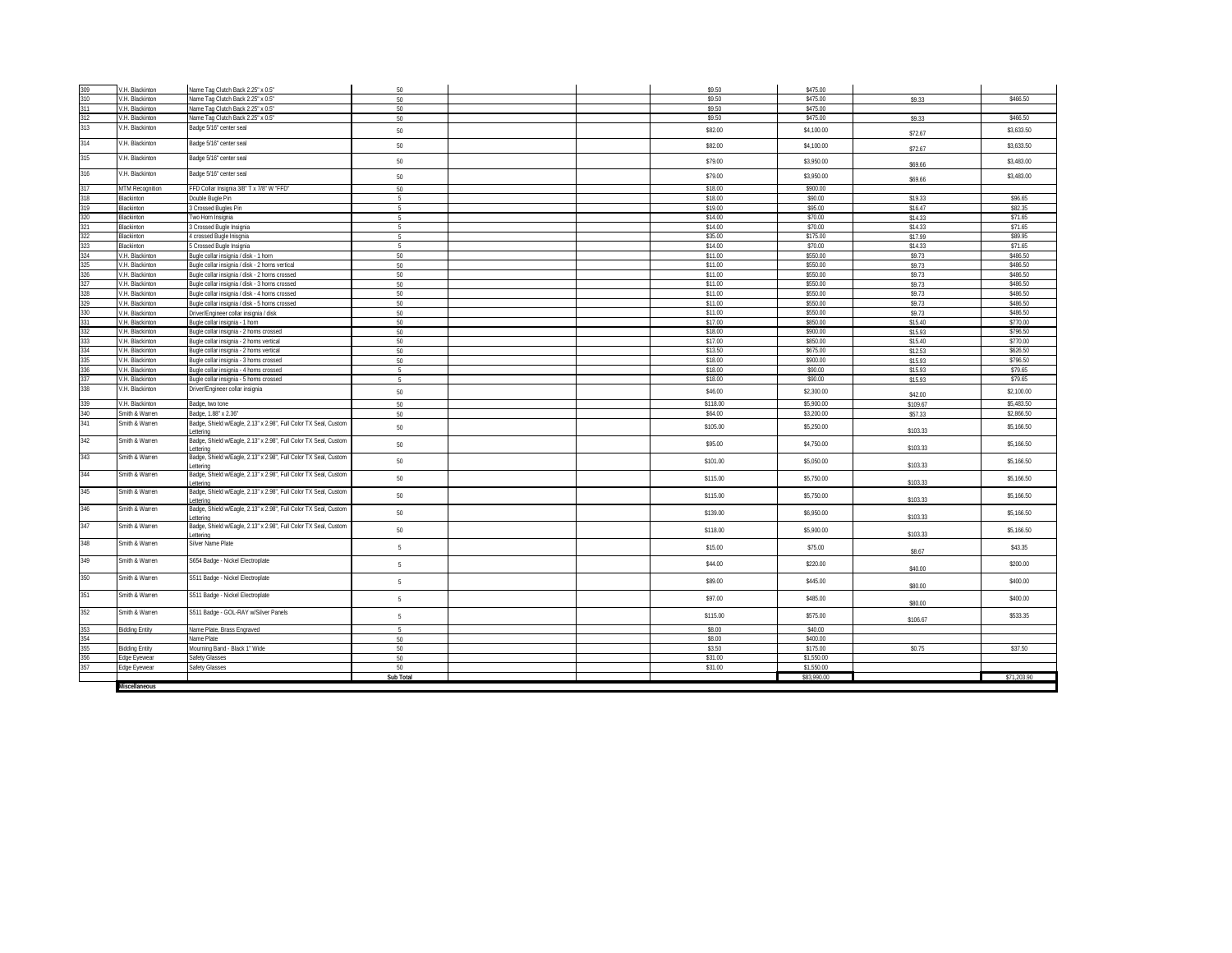| 309        | V.H. Blackinton       | Name Tag Clutch Back 2.25" x 0.5"                                            | 50              |  | \$9.50              | \$475.00                 |                     |                          |
|------------|-----------------------|------------------------------------------------------------------------------|-----------------|--|---------------------|--------------------------|---------------------|--------------------------|
| 310        | V.H. Blackinton       | Vame Tag Clutch Back 2.25" x 0.5"                                            | 50              |  | \$9.50              | \$475.00                 | \$9.33              | \$466.50                 |
| 311        | V.H. Blackinton       | Vame Tag Clutch Back 2.25" x 0.5"                                            | 50              |  | \$9.50              | \$475.00                 |                     |                          |
| 312        | V.H. Blackinton       | Vame Tag Clutch Back 2.25" x 0.5"                                            | 50              |  | \$9.50              | \$475.00                 | \$9.33              | \$466.50                 |
| 313        | V.H. Blackinton       | Badge 5/16" center seal                                                      |                 |  |                     |                          |                     |                          |
|            |                       |                                                                              | 50              |  | \$82.00             | \$4,100.00               | \$72.67             | \$3,633.50               |
| 314        | V.H. Blackinton       | Badge 5/16" center seal                                                      | 50              |  | \$82.00             | \$4,100.00               | \$72.67             | \$3,633.50               |
| 315        | V.H. Blackinton       | Badge 5/16" center seal                                                      | 50              |  | \$79.00             | \$3,950.00               | \$69.66             | \$3,483.00               |
| 316        | V.H. Blackinton       | Badge 5/16" center seal                                                      | 50              |  | \$79.00             | \$3,950.00               | \$69.66             | \$3,483.00               |
| 317        | MTM Recognition       | FFD Collar Insignia 3/8" T x 7/8" W "FFD"                                    | 50              |  | \$18.00             | \$900.00                 |                     |                          |
| 318        | <b>Blackinton</b>     | Jouble Bugle Pin                                                             | 5               |  | \$18.00             | \$90.00                  | \$19.33             | \$96.65                  |
| 319        | <b>Blackinton</b>     | <b>Crossed Bugles Pin</b>                                                    | 5               |  | \$19.00             | \$95.00                  | \$16.47             | \$82.35                  |
| 320        | <b>Blackinton</b>     | Two Horn Insignia                                                            | 5               |  | \$14.00             | \$70.00                  | \$14.33             | \$71.65                  |
| 321        | <b>Blackinton</b>     | Crossed Bugle Insignia                                                       | 5               |  | \$14.00             | \$70.00                  | \$14.33             | \$71.65                  |
| 322        | <b>Blackinton</b>     | crossed Bugle Inisgnia                                                       | 5               |  | \$35.00             | \$175.00                 | \$17.99             | \$89.95                  |
| 323        | <b>Blackinton</b>     | Crossed Bugle Insignia                                                       | 5               |  | \$14.00             | \$70.00                  | \$14.33             | \$71.65                  |
| 324        | V.H. Blackinton       | Jugle collar insignia / disk - 1 horn                                        | 50              |  | \$11.00             | \$550.00                 | \$9.73              | \$486.50                 |
| 325        | V.H. Blackinton       | Bugle collar insignia / disk - 2 horns vertical                              | 50              |  | \$11.00             | \$550.00                 | \$9.73              | \$486.50                 |
| 326        | V.H. Blackinton       | ugle collar insignia / disk - 2 horns crossed                                | 50              |  | \$11.00             | \$550.00                 | \$9.73              | \$486.50                 |
| 327        | V.H. Blackinton       | 3ugle collar insignia / disk - 3 horns crossed                               | 50              |  | \$11.00             | \$550.00                 | \$9.73              | \$486.50                 |
| 328        | V.H. Blackinton       | Bugle collar insignia / disk - 4 horns crossed                               | 50              |  | \$11.00             | \$550.00                 | \$9.73              | \$486.50                 |
| 329        | V.H. Blackinton       | Bugle collar insignia / disk - 5 horns crossed                               | 50              |  | \$11.00             | \$550.00                 | \$9.73              | \$486.50                 |
| 330        | V.H. Blackinton       | Driver/Engineer collar insignia / disk                                       | 50              |  | \$11.00             | \$550.00                 | \$9.73              | \$486.50                 |
| 331        | V.H. Blackinton       | 3ugle collar insignia - 1 horn                                               | 50              |  | \$17.00             | \$850.00                 | \$15.40             | \$770.00                 |
|            | /.H. Blackinton       | ugle collar insignia - 2 horns crossed                                       | 50              |  | \$18.00             | \$900.00                 | \$15.93             | \$796.50                 |
| 332<br>333 | V.H. Blackinton       | 3ugle collar insignia - 2 horns vertical                                     | 50              |  | \$17.00             | \$850.00                 | \$15.40             | \$770.00                 |
| 334        | V.H. Blackinton       | 3ugle collar insignia - 2 horns vertical                                     | 50              |  | \$13.50             | \$675.00                 | \$12.53             | \$626.50                 |
|            | /.H. Blackinton       | sugle collar insignia - 3 horns crossed                                      | 50              |  | \$18.00             | \$900.00                 | \$15.93             | \$796.50                 |
| 335<br>336 | V.H. Blackinton       | Sugle collar insignia - 4 horns crossed                                      | -5              |  | \$18.00             | \$90.00                  | \$15.93             | \$79.65                  |
| 337        | V.H. Blackinton       | Bugle collar insignia - 5 horns crossed                                      | $5 -$           |  | \$18.00             | \$90.00                  | \$15.93             | \$79.65                  |
| 338        | V.H. Blackinton       | Driver/Engineer collar insignia                                              | 50              |  | \$46.00             | \$2,300.00               |                     | \$2,100.00               |
| 339        | V.H. Blackinton       |                                                                              |                 |  |                     |                          | \$42.00             |                          |
|            | mith & Warren         | Badge, two tone<br>Badge, 1.88" x 2.36"                                      | 50              |  | \$118.00<br>\$64.00 | \$5,900.00<br>\$3,200.00 | \$109.67<br>\$57.33 | \$5,483.50<br>\$2,866.50 |
| 340<br>341 | Smith & Warren        | Badge, Shield w/Eagle, 2.13" x 2.98", Full Color TX Seal, Custom             | 50              |  |                     |                          |                     |                          |
|            |                       | ettering                                                                     | 50              |  | \$105.00            | \$5,250.00               | \$103.33            | \$5,166.50               |
| 342        | Smith & Warren        | Badge, Shield w/Eagle, 2.13" x 2.98", Full Color TX Seal, Custom<br>ettering | 50              |  | \$95.00             | \$4,750.00               | \$103.33            | \$5,166.50               |
| 343        | Smith & Warren        | Badge, Shield w/Eagle, 2.13" x 2.98", Full Color TX Seal, Custom<br>ettering | 50              |  | \$101.00            | \$5,050.00               | \$103.33            | \$5,166.50               |
| 344        | Smith & Warren        | Badge, Shield w/Eagle, 2.13" x 2.98", Full Color TX Seal, Custom<br>ettering | 50              |  | \$115.00            | \$5,750.00               | \$103.33            | \$5,166.50               |
| 345        | Smith & Warren        | Badge, Shield w/Eagle, 2.13" x 2.98", Full Color TX Seal, Custom             | 50              |  | \$115.00            | \$5,750.00               |                     | \$5,166.50               |
| 346        | Smith & Warren        | ettering<br>Badge, Shield w/Eagle, 2.13" x 2.98", Full Color TX Seal, Custom | 50              |  | \$139.00            | \$6,950.00               | \$103.33            | \$5,166.50               |
| 347        | Smith & Warren        | ettering<br>Badge, Shield w/Eagle, 2.13" x 2.98", Full Color TX Seal, Custon |                 |  |                     |                          | \$103.33            |                          |
|            |                       | ettering                                                                     | 50              |  | \$118.00            | \$5,900.00               | \$103.33            | \$5,166.50               |
| 348        | Smith & Warren        | Silver Name Plate                                                            | $\overline{5}$  |  | \$15.00             | \$75.00                  | \$8.67              | \$43.35                  |
| 349        | Smith & Warren        | S654 Badge - Nickel Electroplate                                             | $5\phantom{.0}$ |  | \$44.00             | \$220.00                 | \$40.00             | \$200.00                 |
| 350        | Smith & Warren        | S511 Badge - Nickel Electroplate                                             | 5 <sub>1</sub>  |  | \$89.00             | \$445.00                 | \$80.00             | \$400.00                 |
| 351        | Smith & Warren        | S511 Badge - Nickel Electroplate                                             | $5 -$           |  | \$97.00             | \$485.00                 | \$80.00             | \$400.00                 |
| 352        | Smith & Warren        | S511 Badge - GOL-RAY w/Silver Panels                                         | 5               |  | \$115.00            | \$575.00                 |                     | \$533.35                 |
| 353        | <b>Bidding Entity</b> | Name Plate, Brass Engraved                                                   | 5               |  | \$8.00              | \$40.00                  | \$106.67            |                          |
| 354        |                       | <b>Name Plate</b>                                                            | 50              |  | \$8.00              | \$400.00                 |                     |                          |
| 355        | <b>Bidding Entity</b> | Mourning Band - Black 1" Wide                                                | 50              |  | \$3.50              | \$175.00                 | \$0.75              | \$37.50                  |
| 356        | dge Eyewear           | <b>Safety Glasses</b>                                                        | 50              |  | \$31.00             | \$1,550.00               |                     |                          |
| 357        | Edge Eyewear          | Safety Glasses                                                               | 50              |  | \$31.00             | \$1,550.00               |                     |                          |
|            |                       |                                                                              | Sub Total       |  |                     | \$83,990.00              |                     | \$71,203.90              |
|            | Miscellaneous         |                                                                              |                 |  |                     |                          |                     |                          |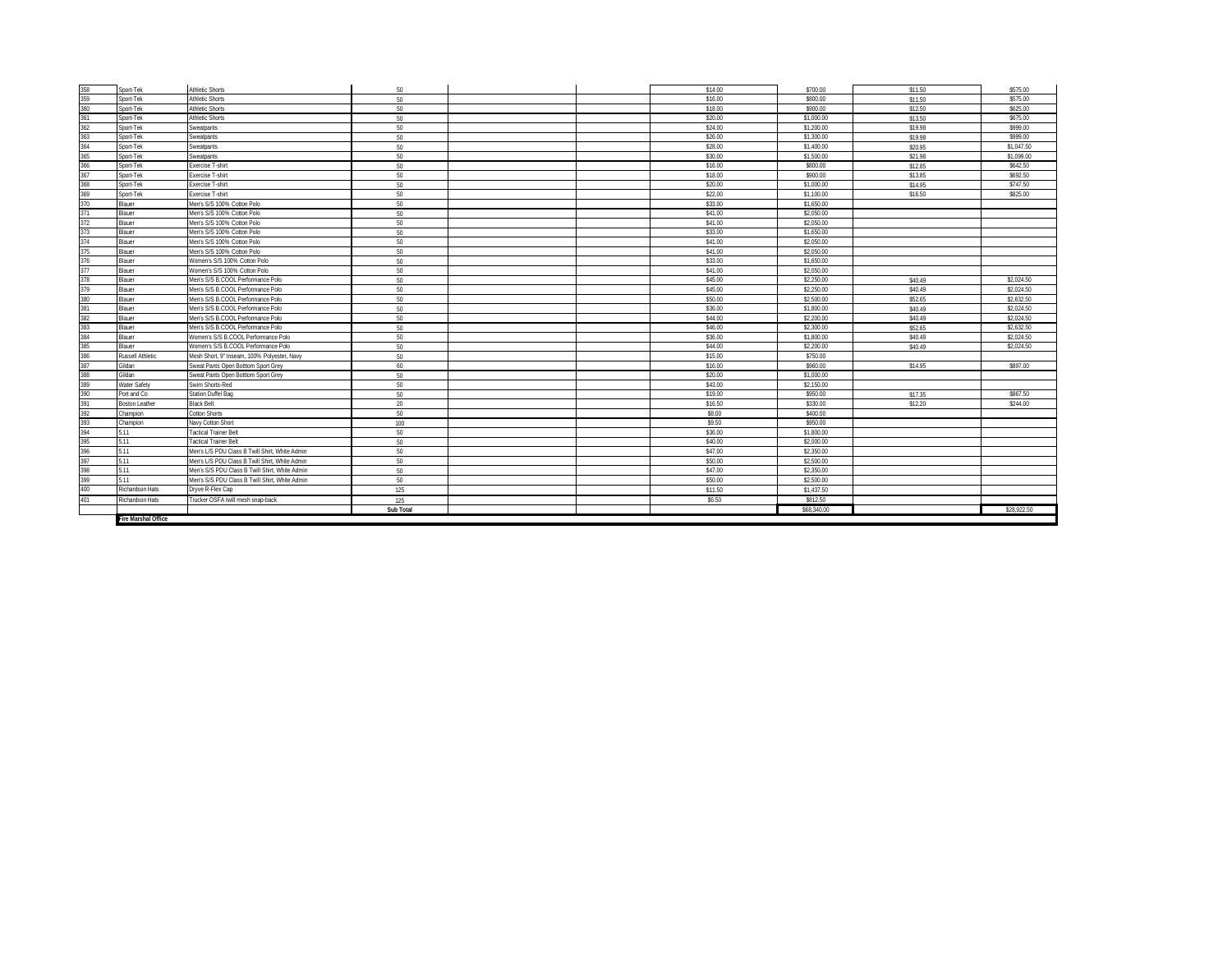|                          | Sport-Tek             | <b>Athletic Shorts</b>                         | 50        |  | \$14.00 | \$700.00    | \$11.50 | \$575.00    |
|--------------------------|-----------------------|------------------------------------------------|-----------|--|---------|-------------|---------|-------------|
| 358<br>359               | Sport-Tek             | <b>Athletic Shorts</b>                         | 50        |  | \$16.00 | \$800.00    | \$11.50 | \$575.00    |
|                          | Sport-Tek             | <b>Athletic Shorts</b>                         | 50        |  | \$18.00 | \$900.00    | \$12.50 | \$625.00    |
| 360<br>361               | Sport-Tek             | <b>Athletic Shorts</b>                         | 50        |  | \$20.00 | \$1,000.00  | \$13.50 | \$675.00    |
|                          | Sport-Tek             | <b>Sweatpants</b>                              |           |  | \$24.00 | \$1,200.00  |         | \$999.00    |
| 362<br>363               |                       |                                                | 50        |  |         |             | \$19.98 | \$999.00    |
|                          | Sport-Tek             | Sweatpants                                     | 50        |  | \$26.00 | \$1,300.00  | \$19.98 |             |
| 364<br>365               | Sport-Tek             | <b>Sweatpants</b>                              | 50        |  | \$28.00 | \$1,400.00  | \$20.95 | \$1.047.50  |
|                          | Sport-Tek             | <b>Sweatpants</b>                              | 50        |  | \$30.00 | \$1,500.00  | \$21.98 | \$1,099.00  |
| 366<br>367               | Sport-Tek             | Exercise T-shirt                               | 50        |  | \$16.00 | \$800.00    | \$12.85 | \$642.50    |
|                          | Sport-Tek             | Exercise T-shirt                               | 50        |  | \$18.00 | \$900.00    | \$13.85 | \$692.50    |
| 368<br>369               | Sport-Tek             | Exercise T-shirt                               | 50        |  | \$20.00 | \$1,000.00  | \$14.95 | \$747.50    |
|                          | Sport-Tek             | Exercise T-shirt                               | 50        |  | \$22.00 | \$1,100.00  | \$16.50 | \$825.00    |
|                          | <b>Blauer</b>         | Men's S/S 100% Cotton Polo                     | 50        |  | \$33.00 | \$1,650.00  |         |             |
|                          | Blauer                | Men's S/S 100% Cotton Polo                     | 50        |  | \$41.00 | \$2,050.00  |         |             |
| 370<br>371<br>372<br>373 | <b>Blauer</b>         | Men's S/S 100% Cotton Polo                     | 50        |  | \$41.00 | \$2,050.00  |         |             |
|                          | <b>Blauer</b>         | Men's S/S 100% Cotton Polo                     | 50        |  | \$33.00 | \$1,650.00  |         |             |
| 374                      | Blauer                | Men's S/S 100% Cotton Polo                     | 50        |  | \$41.00 | \$2,050.00  |         |             |
| 375                      | <b>Blauer</b>         | Men's S/S 100% Cotton Polo                     | 50        |  | \$41.00 | \$2,050.00  |         |             |
| 376<br>377               | Blauer                | Women's S/S 100% Cotton Polo                   | 50        |  | \$33.00 | \$1,650.00  |         |             |
|                          | Blauer                | Women's S/S 100% Cotton Polo                   | 50        |  | \$41.00 | \$2,050.00  |         |             |
| 378                      | <b>Blauer</b>         | Men's S/S B.COOL Performance Polo              | 50        |  | \$45.00 | \$2,250.00  | \$40.49 | \$2.024.50  |
| 379                      | Blauer                | Men's S/S B.COOL Performance Polo              | 50        |  | \$45.00 | \$2,250.00  | \$40.49 | \$2.024.50  |
|                          | Blauer                | Men's S/S B.COOL Performance Polo              | 50        |  | \$50.00 | \$2,500.00  | \$52.65 | \$2,632.50  |
| 380<br>381<br>382        | <b>Blauer</b>         | Men's S/S B.COOL Performance Polo              | 50        |  | \$36.00 | \$1,800.00  | \$40.49 | \$2,024.50  |
|                          | <b>Blauer</b>         | Men's S/S B.COOL Performance Polo              | 50        |  | \$44.00 | \$2,200.00  | \$40.49 | \$2,024.50  |
| 383<br>384<br>385<br>386 | Blauer                | Men's S/S B.COOL Performance Polo              | 50        |  | \$46.00 | \$2,300.00  | \$52.65 | \$2,632.50  |
|                          | Blauer                | Women's S/S B.COOL Performance Polo            | 50        |  | \$36.00 | \$1,800.00  | \$40.49 | \$2.024.50  |
|                          | <b>Blauer</b>         | Women's S/S B.COOL Performance Polo            | 50        |  | \$44.00 | \$2,200.00  | \$40.49 | \$2.024.50  |
|                          | Russell Athletic      | Mesh Short, 9" Inseam, 100% Polyester, Navy    | 50        |  | \$15.00 | \$750.00    |         |             |
| 387                      | Gildan                | Sweat Pants Open Botttom Sport Grey            | 60        |  | \$16.00 | \$960.00    | \$14.95 | \$897.00    |
| 388                      | Gildan                | Sweat Pants Open Botttom Sport Grey            | 50        |  | \$20.00 | \$1,000.00  |         |             |
| 389<br>390<br>391        | Water Safety          | Swim Shorts-Red                                | 50        |  | \$43.00 | \$2,150.00  |         |             |
|                          | Port and Co           | Station Duffel Bag                             | 50        |  | \$19.00 | \$950.00    | \$17.35 | \$867.50    |
|                          | <b>Boston Leather</b> | <b>Black Belt</b>                              | 20        |  | \$16.50 | \$330.00    | \$12.20 | \$244.00    |
| 392                      | Champion              | <b>Cotton Shorts</b>                           | 50        |  | \$8.00  | \$400.00    |         |             |
|                          | Champion              | Navy Cotton Short                              | 100       |  | \$9.50  | \$950.00    |         |             |
| 393<br>394               | 5.11                  | <b>Tactical Trainer Belt</b>                   | 50        |  | \$36.00 | \$1,800.00  |         |             |
| 395                      | 5.11                  | <b>Tactical Trainer Belt</b>                   | 50        |  | \$40.00 | \$2,000.00  |         |             |
| 396<br>397               | 5.11                  | Men's L/S PDU Class B Twill Shirt, White Admin | 50        |  | \$47.00 | \$2,350.00  |         |             |
|                          | 5.11                  | Men's L/S PDU Class B Twill Shirt. White Admin | 50        |  | \$50.00 | \$2,500.00  |         |             |
|                          | 5.11                  | Men's S/S PDU Class B Twill Shirt, White Admin | 50        |  | \$47.00 | \$2,350.00  |         |             |
| 398<br>399               | 5.11                  | Men's S/S PDU Class B Twill Shirt, White Admin | 50        |  | \$50.00 | \$2,500.00  |         |             |
| 400                      | Richardson Hats       | Dryve R-Flex Cap                               | 125       |  | \$11.50 | \$1,437.50  |         |             |
| 401                      | dichardson Hats       | Frucker OSFA twill mesh snap-back              | 125       |  | \$6.50  | \$812.50    |         |             |
|                          |                       |                                                | Sub Total |  |         | \$68,340.00 |         | \$28,922.50 |
|                          | Fire Marshal Office   |                                                |           |  |         |             |         |             |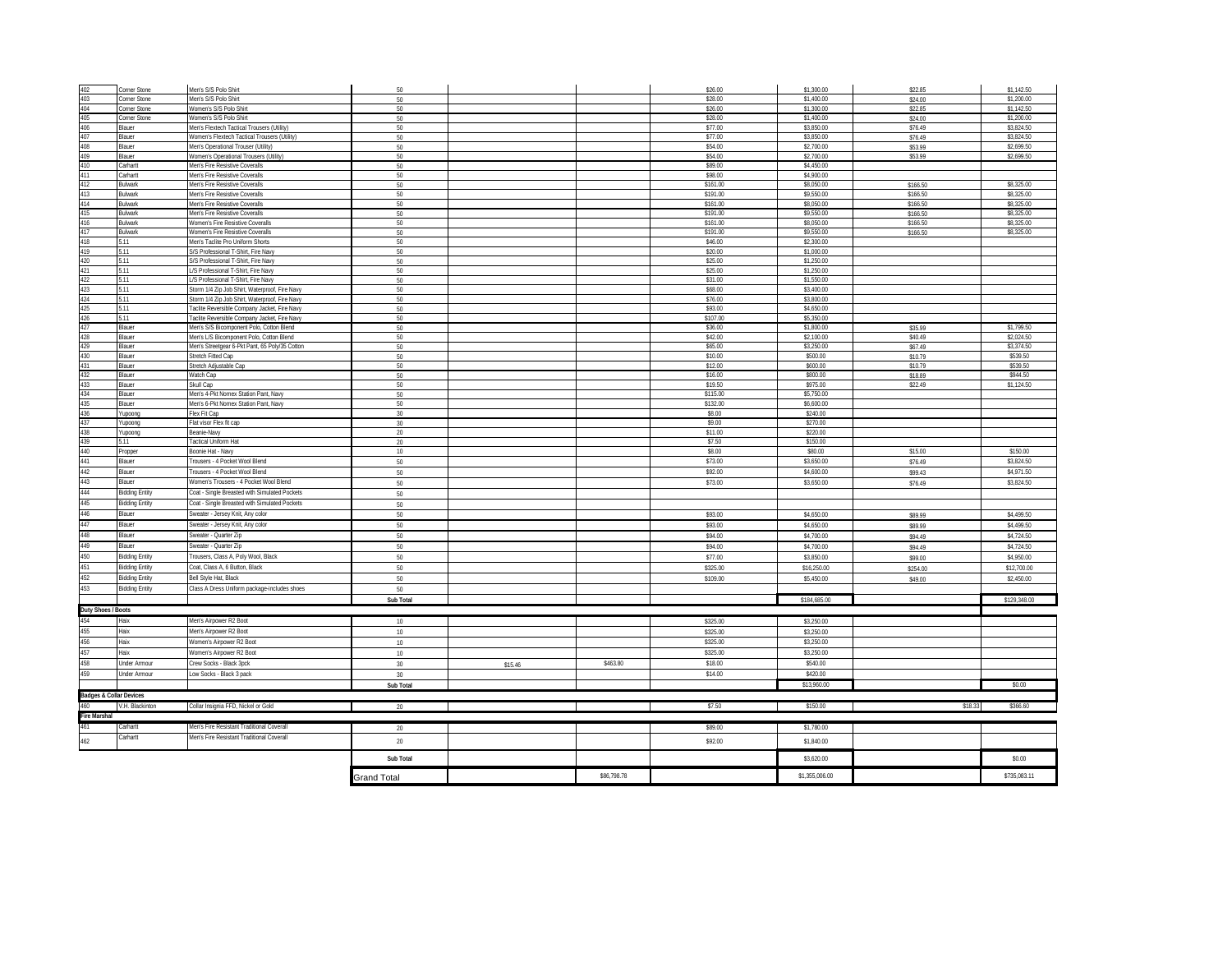| 402                                         | Corner Stone          | Men's S/S Polo Shirt                                                                       | 50                 |         |             | \$26.00            | \$1,300.00               | \$22.85            | \$1,142.50               |
|---------------------------------------------|-----------------------|--------------------------------------------------------------------------------------------|--------------------|---------|-------------|--------------------|--------------------------|--------------------|--------------------------|
| 403                                         | Corner Stone          | Men's S/S Polo Shirt                                                                       | 50                 |         |             | \$28.00            | \$1,400.00               | \$24.00            | \$1,200.00               |
| 404                                         | Corner Stone          | Women's S/S Polo Shirt                                                                     | 50                 |         |             | \$26.00            | \$1,300.00               | \$22.85            | \$1,142.50               |
| 405                                         | <b>Corner Stone</b>   | Women's S/S Polo Shirt                                                                     | 50                 |         |             | \$28.00            | \$1,400.00               | \$24.00            | \$1,200.00               |
| 406<br>407                                  | Blauer<br>Blauer      | Men's Flextech Tactical Trousers (Utility)<br>Women's Flextech Tactical Trousers (Utility) | 50<br>50           |         |             | \$77.00<br>\$77.00 | \$3,850.00<br>\$3,850.00 | \$76.49<br>\$76.49 | \$3,824.50<br>\$3,824.50 |
| 408                                         | Blauer                | Men's Operational Trouser (Utility)                                                        | 50                 |         |             | \$54.00            | \$2,700.00               | \$53.99            | \$2,699.50               |
| 409                                         | Blauer                | <b>Nomen's Operational Trousers (Utility)</b>                                              | 50                 |         |             | \$54.00            | \$2,700.00               | \$53.99            | \$2,699.50               |
| 410                                         | Carhartt              | Men's Fire Resistive Coveralls                                                             | 50                 |         |             | \$89.00            | \$4,450.00               |                    |                          |
| 411                                         | Carhartt              | Men's Fire Resistive Coveralls                                                             | 50                 |         |             | \$98.00            | \$4,900.00               |                    |                          |
| 412                                         | Bulwark               | Men's Fire Resistive Coveralls                                                             | 50                 |         |             | \$161.00           | \$8,050.00               | \$166.50           | \$8,325.00               |
| 413                                         | Bulwark               | Men's Fire Resistive Coveralls                                                             | 50                 |         |             | \$191.00           | \$9,550.00               | \$166.50           | \$8,325.00               |
| 414                                         | <b>Bulwark</b>        | Men's Fire Resistive Coveralls                                                             | $50\,$             |         |             | \$161.00           | \$8,050.00               | \$166.50           | \$8,325.00               |
| 415                                         | <b>Bulwark</b>        | Men's Fire Resistive Coveralls                                                             | 50                 |         |             | \$191.00           | \$9,550.00               | \$166.50           | \$8,325.00               |
| 416                                         | <b>Bulwark</b>        | <b>Nomen's Fire Resistive Coveralls</b>                                                    | 50                 |         |             | \$161.00           | \$8,050.00               | \$166.50           | \$8,325.00               |
| 417                                         | <b>Bulwark</b>        | <b>Nomen's Fire Resistive Coveralls</b>                                                    | 50                 |         |             | \$191.00           | \$9,550.00               | \$166.50           | \$8,325.00               |
| 418<br>419                                  | 5.11                  | fen's Taclite Pro Uniform Shorts                                                           | 50                 |         |             | \$46.00<br>\$20.00 | \$2,300.00<br>\$1,000.00 |                    |                          |
| 420                                         | 5.11<br>5.11          | S/S Professional T-Shirt, Fire Navy<br>S/S Professional T-Shirt. Fire Navy                 | 50<br>50           |         |             | \$25.00            | \$1,250.00               |                    |                          |
| 421                                         | 5.11                  | /S Professional T-Shirt. Fire Navy                                                         | 50                 |         |             | \$25.00            | \$1,250.00               |                    |                          |
| 422                                         | 5.11                  | /S Professional T-Shirt. Fire Navy                                                         | 50                 |         |             | \$31.00            | \$1,550.00               |                    |                          |
| 423                                         | 5.11                  | Storm 1/4 Zip Job Shirt, Waterproof, Fire Navy                                             | $50\,$             |         |             | \$68.00            | \$3,400.00               |                    |                          |
| 424                                         | 5.11                  | Storm 1/4 Zip Job Shirt, Waterproof, Fire Navy                                             | $50\,$             |         |             | \$76.00            | \$3,800.00               |                    |                          |
| 425                                         | 5.11                  | Taclite Reversible Company Jacket, Fire Navy                                               | $50\,$             |         |             | \$93.00            | \$4,650.00               |                    |                          |
| 426                                         | 5.11                  | Taclite Reversible Company Jacket, Fire Navy                                               | 50                 |         |             | \$107.00           | \$5,350.00               |                    |                          |
| 427                                         | Blauer                | Men's S/S Bicomponent Polo, Cotton Blend                                                   | $50\,$             |         |             | \$36.00            | \$1,800.00               | \$35.99            | \$1,799.50               |
| 428                                         | Blauer                | Men's L/S Bicomponent Polo, Cotton Blend                                                   | 50                 |         |             | \$42.00            | \$2,100.00               | \$40.49            | \$2,024.50               |
| 429                                         | Blauer                | Men's Streetgear 6-Pkt Pant, 65 Poly/35 Cotton                                             | 50                 |         |             | \$65.00            | \$3,250.00               | \$67.49            | \$3,374.50               |
| 430                                         | Blauer                | Stretch Fitted Cap                                                                         | 50                 |         |             | \$10.00            | \$500.00                 | \$10.79            | \$539.50                 |
| 431                                         | Blauer                | Stretch Adjustable Cap                                                                     | 50                 |         |             | \$12.00<br>\$16.00 | \$600.00<br>\$800.00     | \$10.79            | \$539.50<br>\$944.50     |
| 432<br>433                                  | Blauer<br>Blauer      | Watch Cap<br>Skull Cap                                                                     | 50<br>$50\,$       |         |             | \$19.50            | \$975.00                 | \$18.89<br>\$22.49 | \$1,124.50               |
| 434                                         | Blauer                | Men's 4-Pkt Nomex Station Pant, Navy                                                       | 50                 |         |             | \$115.00           | \$5,750.00               |                    |                          |
| 435                                         | Blauer                | Men's 6-Pkt Nomex Station Pant, Navy                                                       | 50                 |         |             | \$132.00           | \$6,600.00               |                    |                          |
| 436                                         | Yupoong               | Flex Fit Cap                                                                               | 30                 |         |             | \$8.00             | \$240.00                 |                    |                          |
| 437                                         | Yupoong               | lat visor Flex fit cap                                                                     | 30                 |         |             | \$9.00             | \$270.00                 |                    |                          |
| 438                                         | Yupoong               | Beanie-Navy                                                                                | 20                 |         |             | \$11.00            | \$220.00                 |                    |                          |
| 439                                         | 5.11                  | <b>Tactical Uniform Hat</b>                                                                | 20                 |         |             | \$7.50             | \$150.00                 |                    |                          |
| 440                                         | Propper               | Boonie Hat - Navy                                                                          | 10                 |         |             | \$8.00             | \$80.00                  | \$15.00            | \$150.00                 |
| 441                                         | Blauer                | Trousers - 4 Pocket Wool Blend                                                             | 50                 |         |             | \$73.00            | \$3,650.00               | \$76.49            | \$3,824.50               |
| 442                                         | Blauer                | Trousers - 4 Pocket Wool Blend                                                             | 50                 |         |             | \$92.00            | \$4,600.00               | \$99.43            | \$4,971.50               |
| 443                                         | Blauer                | Women's Trousers - 4 Pocket Wool Blend                                                     | $50\,$             |         |             | \$73.00            | \$3,650.00               | \$76.49            | \$3,824.50               |
| 444                                         | <b>Bidding Entity</b> | Coat - Single Breasted with Simulated Pockets                                              | 50                 |         |             |                    |                          |                    |                          |
| 445                                         | <b>Bidding Entity</b> | Coat - Single Breasted with Simulated Pockets                                              | $50\,$             |         |             |                    |                          |                    |                          |
| 446                                         | Blauer                | Sweater - Jersey Knit, Any color                                                           | 50                 |         |             | \$93.00            | \$4,650.00               | \$89.99            | \$4,499.50               |
| 447                                         | Blauer                | Sweater - Jersey Knit, Any color                                                           | $50\,$             |         |             | \$93.00            | \$4,650.00               | \$89.99            | \$4,499.50               |
| 448                                         | Blauer                | Sweater - Quarter Zip                                                                      | $50\,$             |         |             | \$94.00            | \$4,700.00               | \$94.49            | \$4,724.50               |
| 449                                         | Blauer                | Sweater - Quarter Zip                                                                      | 50                 |         |             | \$94.00            | \$4,700.00               | \$94.49            | \$4,724.50               |
| 450                                         | <b>Bidding Entity</b> | Trousers, Class A, Poly Wool, Black                                                        | $50\,$             |         |             | \$77.00            | \$3,850.00               | \$99.00            | \$4,950.00               |
| 451                                         | <b>Bidding Entity</b> | Coat, Class A, 6 Button, Black                                                             | 50                 |         |             | \$325.00           | \$16,250.00              | \$254.00           | \$12,700.00              |
| 452                                         | <b>Bidding Entity</b> | Bell Style Hat, Black                                                                      | 50                 |         |             | \$109.00           | \$5,450.00               | \$49.00            | \$2,450.00               |
| 453                                         | <b>Bidding Entity</b> | Class A Dress Uniform package-includes shoes                                               | 50                 |         |             |                    |                          |                    |                          |
|                                             |                       |                                                                                            | Sub Total          |         |             |                    | \$184,685.00             |                    | \$129,348.00             |
|                                             |                       |                                                                                            |                    |         |             |                    |                          |                    |                          |
| Duty Shoes / Boots<br>454 Haix              |                       | Men's Airpower R2 Boot                                                                     | 10                 |         |             | \$325.00           | \$3,250.00               |                    |                          |
| 455                                         | Haix                  | Men's Airpower R2 Boot                                                                     | 10                 |         |             | \$325.00           | \$3,250.00               |                    |                          |
| 456                                         | Haix                  | Women's Airpower R2 Boot                                                                   | 10                 |         |             | \$325.00           | \$3,250.00               |                    |                          |
| 457                                         | Haix                  | Nomen's Airpower R2 Boot                                                                   | 10                 |         |             | \$325.00           | \$3,250.00               |                    |                          |
| 458                                         | Under Armour          | Crew Socks - Black 3pck                                                                    | 30                 | \$15.46 | \$463.80    | \$18.00            | \$540.00                 |                    |                          |
| 459                                         | <b>Under Armour</b>   | ow Socks - Black 3 pack                                                                    |                    |         |             | \$14.00            | \$420.00                 |                    |                          |
|                                             |                       |                                                                                            | 30                 |         |             |                    | \$13,960.00              |                    |                          |
|                                             |                       |                                                                                            | Sub Total          |         |             |                    |                          |                    | \$0.00                   |
| Badges & Collar Devices<br>460 V.H. Blackin |                       |                                                                                            |                    |         |             |                    |                          |                    |                          |
|                                             | V.H. Blackinton       | Collar Insignia FFD, Nickel or Gold                                                        | 20                 |         |             | \$7.50             | \$150.00                 | \$18.33            | \$366.60                 |
| Fire Marshal<br>461                         |                       |                                                                                            |                    |         |             |                    |                          |                    |                          |
|                                             | Carhartt              | Men's Fire Resistant Traditional Coverall                                                  | 20                 |         |             | \$89.00            | \$1,780.00               |                    |                          |
| 462                                         | Carhartt              | Men's Fire Resistant Traditional Coverall                                                  | 20                 |         |             | \$92.00            | \$1,840.00               |                    |                          |
|                                             |                       |                                                                                            |                    |         |             |                    |                          |                    |                          |
|                                             |                       |                                                                                            | Sub Total          |         |             |                    | \$3,620.00               |                    | \$0.00                   |
|                                             |                       |                                                                                            | <b>Grand Total</b> |         | \$86.798.78 |                    | \$1,355,006.00           |                    | \$735.083.11             |
|                                             |                       |                                                                                            |                    |         |             |                    |                          |                    |                          |